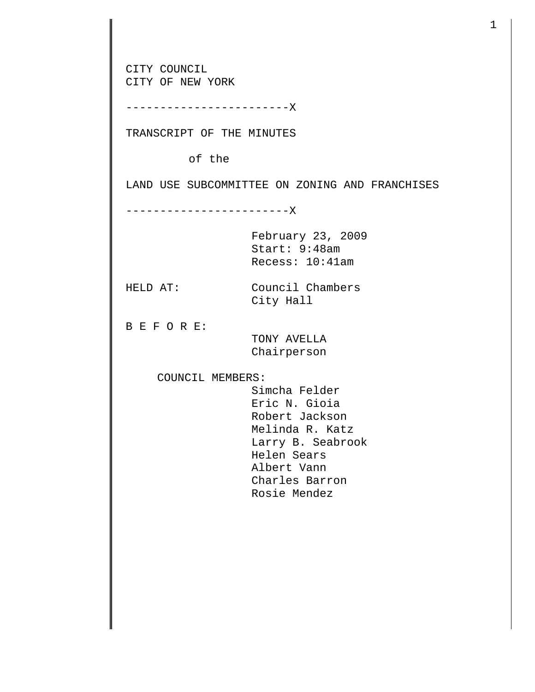CITY COUNCIL CITY OF NEW YORK ------------------------X TRANSCRIPT OF THE MINUTES of the LAND USE SUBCOMMITTEE ON ZONING AND FRANCHISES ------------------------X February 23, 2009 Start: 9:48am Recess: 10:41am HELD AT: Council Chambers City Hall B E F O R E: TONY AVELLA Chairperson COUNCIL MEMBERS: Simcha Felder Eric N. Gioia Robert Jackson Melinda R. Katz Larry B. Seabrook Helen Sears Albert Vann Charles Barron Rosie Mendez

1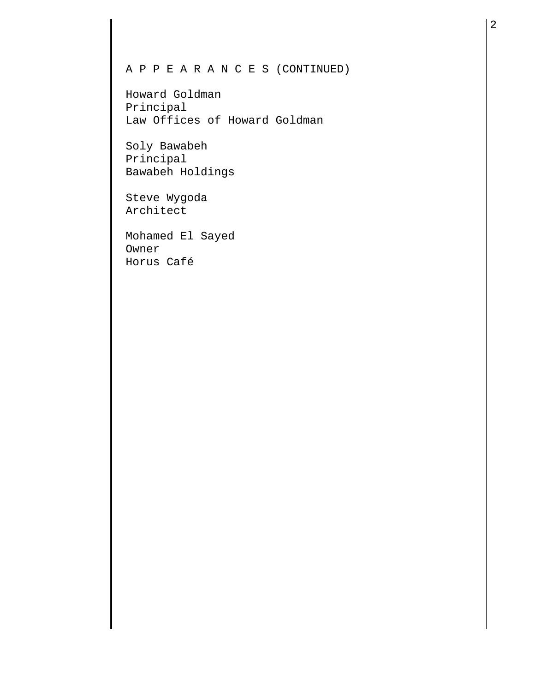## A P P E A R A N C E S (CONTINUED)

Howard Goldman Principal Law Offices of Howard Goldman

Soly Bawabeh Principal Bawabeh Holdings

Steve Wygoda Architect

Mohamed El Sayed Owner Horus Café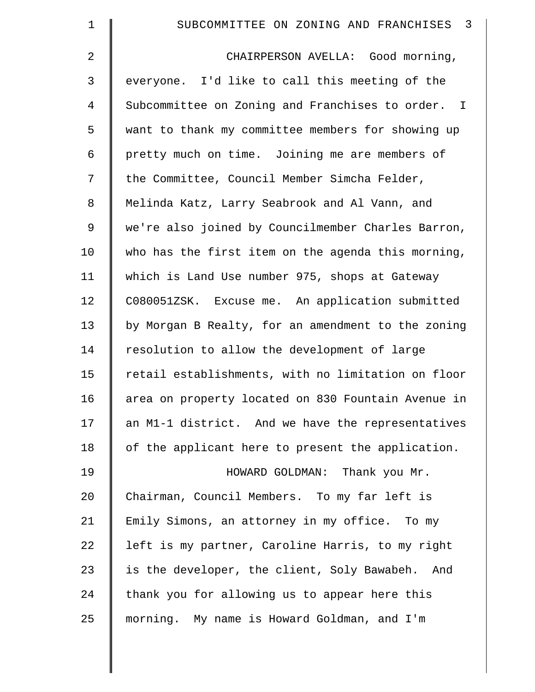| $\mathbf 1$ | SUBCOMMITTEE ON ZONING AND FRANCHISES 3            |
|-------------|----------------------------------------------------|
| 2           | CHAIRPERSON AVELLA: Good morning,                  |
| 3           | everyone. I'd like to call this meeting of the     |
| 4           | Subcommittee on Zoning and Franchises to order. I  |
| 5           | want to thank my committee members for showing up  |
| 6           | pretty much on time. Joining me are members of     |
| 7           | the Committee, Council Member Simcha Felder,       |
| 8           | Melinda Katz, Larry Seabrook and Al Vann, and      |
| $\mathsf 9$ | we're also joined by Councilmember Charles Barron, |
| 10          | who has the first item on the agenda this morning, |
| 11          | which is Land Use number 975, shops at Gateway     |
| 12          | C080051ZSK. Excuse me. An application submitted    |
| 13          | by Morgan B Realty, for an amendment to the zoning |
| 14          | resolution to allow the development of large       |
| 15          | retail establishments, with no limitation on floor |
| 16          | area on property located on 830 Fountain Avenue in |
| 17          | an M1-1 district. And we have the representatives  |
| 18          | of the applicant here to present the application.  |
| 19          | HOWARD GOLDMAN: Thank you Mr.                      |
| 20          | Chairman, Council Members. To my far left is       |
| 21          | Emily Simons, an attorney in my office. To my      |
| 22          | left is my partner, Caroline Harris, to my right   |
| 23          | is the developer, the client, Soly Bawabeh. And    |
| 24          | thank you for allowing us to appear here this      |
| 25          | morning. My name is Howard Goldman, and I'm        |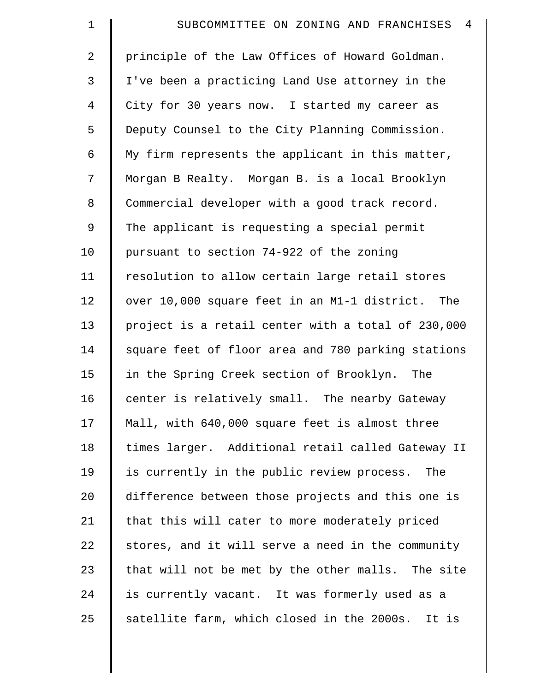| $\mathbf 1$    | $\overline{4}$<br>SUBCOMMITTEE ON ZONING AND FRANCHISES |
|----------------|---------------------------------------------------------|
| $\overline{2}$ | principle of the Law Offices of Howard Goldman.         |
| 3              | I've been a practicing Land Use attorney in the         |
| $\overline{4}$ | City for 30 years now. I started my career as           |
| 5              | Deputy Counsel to the City Planning Commission.         |
| 6              | My firm represents the applicant in this matter,        |
| 7              | Morgan B Realty. Morgan B. is a local Brooklyn          |
| 8              | Commercial developer with a good track record.          |
| $\mathsf 9$    | The applicant is requesting a special permit            |
| 10             | pursuant to section 74-922 of the zoning                |
| 11             | resolution to allow certain large retail stores         |
| 12             | over 10,000 square feet in an M1-1 district. The        |
| 13             | project is a retail center with a total of 230,000      |
| 14             | square feet of floor area and 780 parking stations      |
| 15             | in the Spring Creek section of Brooklyn. The            |
| 16             | center is relatively small. The nearby Gateway          |
| 17             | Mall, with 640,000 square feet is almost three          |
| 18             | times larger. Additional retail called Gateway II       |
| 19             | is currently in the public review process. The          |
| 20             | difference between those projects and this one is       |
| 21             | that this will cater to more moderately priced          |
| 22             | stores, and it will serve a need in the community       |
| 23             | that will not be met by the other malls. The site       |
| 24             | is currently vacant. It was formerly used as a          |
| 25             | satellite farm, which closed in the 2000s. It is        |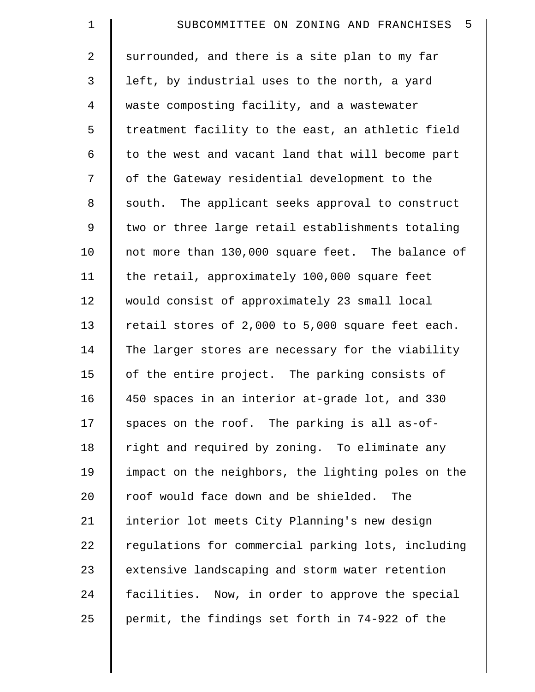| $\mathbf 1$    | SUBCOMMITTEE ON ZONING AND FRANCHISES 5            |
|----------------|----------------------------------------------------|
| $\overline{2}$ | surrounded, and there is a site plan to my far     |
| 3              | left, by industrial uses to the north, a yard      |
| 4              | waste composting facility, and a wastewater        |
| 5              | treatment facility to the east, an athletic field  |
| 6              | to the west and vacant land that will become part  |
| 7              | of the Gateway residential development to the      |
| 8              | south. The applicant seeks approval to construct   |
| $\mathsf 9$    | two or three large retail establishments totaling  |
| 10             | not more than 130,000 square feet. The balance of  |
| 11             | the retail, approximately 100,000 square feet      |
| 12             | would consist of approximately 23 small local      |
| 13             | retail stores of 2,000 to 5,000 square feet each.  |
| 14             | The larger stores are necessary for the viability  |
| 15             | of the entire project. The parking consists of     |
| 16             | 450 spaces in an interior at-grade lot, and 330    |
| 17             | spaces on the roof. The parking is all as-of-      |
| 18             | right and required by zoning. To eliminate any     |
| 19             | impact on the neighbors, the lighting poles on the |
| 20             | roof would face down and be shielded.<br>The       |
| 21             | interior lot meets City Planning's new design      |
| 22             | regulations for commercial parking lots, including |
| 23             | extensive landscaping and storm water retention    |
| 24             | facilities. Now, in order to approve the special   |
| 25             | permit, the findings set forth in 74-922 of the    |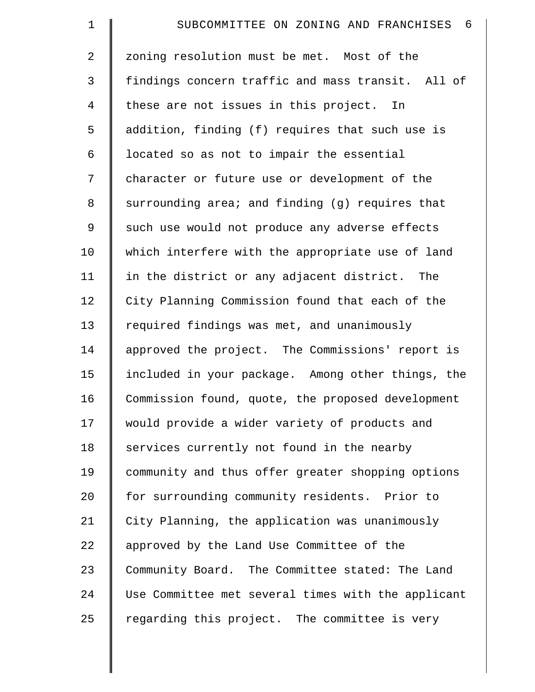| $\mathbf 1$    | $6\overline{6}$<br>SUBCOMMITTEE ON ZONING AND FRANCHISES |
|----------------|----------------------------------------------------------|
| $\overline{a}$ | zoning resolution must be met. Most of the               |
| 3              | findings concern traffic and mass transit. All of        |
| 4              | these are not issues in this project. In                 |
| 5              | addition, finding (f) requires that such use is          |
| 6              | located so as not to impair the essential                |
| 7              | character or future use or development of the            |
| 8              | surrounding area; and finding (g) requires that          |
| 9              | such use would not produce any adverse effects           |
| 10             | which interfere with the appropriate use of land         |
| 11             | in the district or any adjacent district. The            |
| 12             | City Planning Commission found that each of the          |
| 13             | required findings was met, and unanimously               |
| 14             | approved the project. The Commissions' report is         |
| 15             | included in your package. Among other things, the        |
| 16             | Commission found, quote, the proposed development        |
| 17             | would provide a wider variety of products and            |
| 18             | services currently not found in the nearby               |
| 19             | community and thus offer greater shopping options        |
| 20             | for surrounding community residents. Prior to            |
| 21             | City Planning, the application was unanimously           |
| 22             | approved by the Land Use Committee of the                |
| 23             | Community Board. The Committee stated: The Land          |
| 24             | Use Committee met several times with the applicant       |
| 25             | regarding this project. The committee is very            |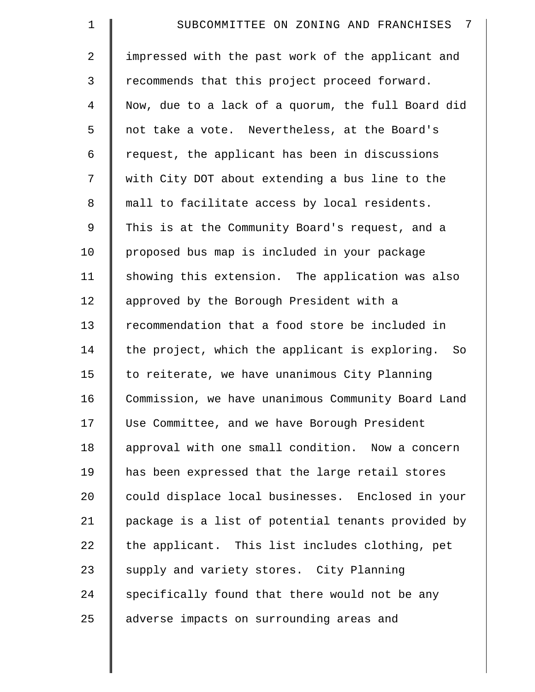| $\mathbf 1$    | 7<br>SUBCOMMITTEE ON ZONING AND FRANCHISES         |
|----------------|----------------------------------------------------|
| $\overline{2}$ | impressed with the past work of the applicant and  |
| 3              | recommends that this project proceed forward.      |
| $\overline{4}$ | Now, due to a lack of a quorum, the full Board did |
| 5              | not take a vote. Nevertheless, at the Board's      |
| 6              | request, the applicant has been in discussions     |
| 7              | with City DOT about extending a bus line to the    |
| 8              | mall to facilitate access by local residents.      |
| $\mathsf 9$    | This is at the Community Board's request, and a    |
| 10             | proposed bus map is included in your package       |
| 11             | showing this extension. The application was also   |
| 12             | approved by the Borough President with a           |
| 13             | recommendation that a food store be included in    |
| 14             | the project, which the applicant is exploring. So  |
| 15             | to reiterate, we have unanimous City Planning      |
| 16             | Commission, we have unanimous Community Board Land |
| 17             | Use Committee, and we have Borough President       |
| 18             | approval with one small condition. Now a concern   |
| 19             | has been expressed that the large retail stores    |
| 20             | could displace local businesses. Enclosed in your  |
| 21             | package is a list of potential tenants provided by |
| 22             | the applicant. This list includes clothing, pet    |
| 23             | supply and variety stores. City Planning           |
| 24             | specifically found that there would not be any     |
| 25             | adverse impacts on surrounding areas and           |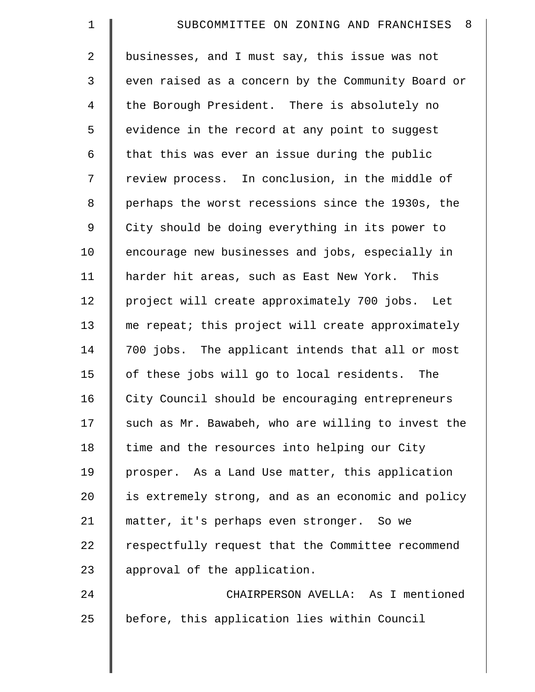| $\mathbf 1$    | SUBCOMMITTEE ON ZONING AND FRANCHISES<br>-8        |
|----------------|----------------------------------------------------|
| $\overline{2}$ | businesses, and I must say, this issue was not     |
| 3              | even raised as a concern by the Community Board or |
| $\overline{4}$ | the Borough President. There is absolutely no      |
| 5              | evidence in the record at any point to suggest     |
| 6              | that this was ever an issue during the public      |
| 7              | review process. In conclusion, in the middle of    |
| 8              | perhaps the worst recessions since the 1930s, the  |
| 9              | City should be doing everything in its power to    |
| 10             | encourage new businesses and jobs, especially in   |
| 11             | harder hit areas, such as East New York. This      |
| 12             | project will create approximately 700 jobs. Let    |
| 13             | me repeat; this project will create approximately  |
| 14             | 700 jobs. The applicant intends that all or most   |
| 15             | of these jobs will go to local residents. The      |
| 16             | City Council should be encouraging entrepreneurs   |
| 17             | such as Mr. Bawabeh, who are willing to invest the |
| 18             | time and the resources into helping our City       |
| 19             | prosper. As a Land Use matter, this application    |
| 20             | is extremely strong, and as an economic and policy |
| 21             | matter, it's perhaps even stronger. So we          |
| 22             | respectfully request that the Committee recommend  |
| 23             | approval of the application.                       |
| 24             | CHAIRPERSON AVELLA: As I mentioned                 |
| 25             | before, this application lies within Council       |
|                |                                                    |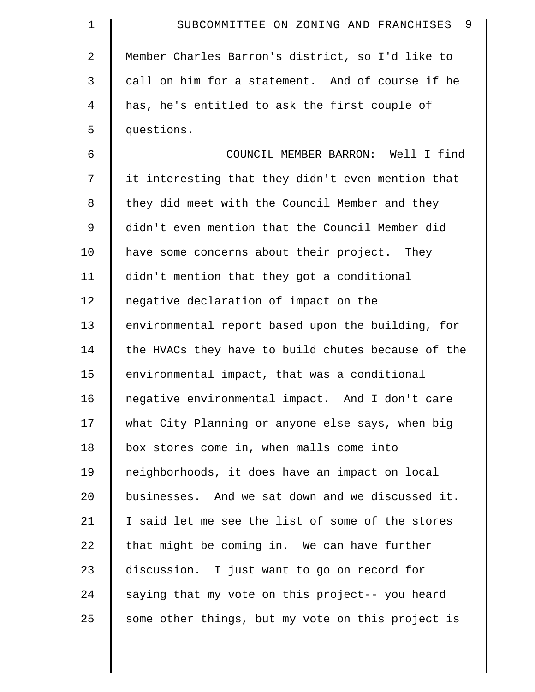| $\mathbf 1$    | -9<br>SUBCOMMITTEE ON ZONING AND FRANCHISES        |
|----------------|----------------------------------------------------|
| $\overline{a}$ | Member Charles Barron's district, so I'd like to   |
| 3              | call on him for a statement. And of course if he   |
| 4              | has, he's entitled to ask the first couple of      |
| 5              | questions.                                         |
| 6              | COUNCIL MEMBER BARRON: Well I find                 |
| 7              | it interesting that they didn't even mention that  |
| 8              | they did meet with the Council Member and they     |
| 9              | didn't even mention that the Council Member did    |
| 10             | have some concerns about their project. They       |
| 11             | didn't mention that they got a conditional         |
| 12             | negative declaration of impact on the              |
| 13             | environmental report based upon the building, for  |
| 14             | the HVACs they have to build chutes because of the |
| 15             | environmental impact, that was a conditional       |
| 16             | negative environmental impact. And I don't care    |
| 17             | what City Planning or anyone else says, when big   |
| 18             | box stores come in, when malls come into           |
| 19             | neighborhoods, it does have an impact on local     |
| 20             | businesses. And we sat down and we discussed it.   |
| 21             | I said let me see the list of some of the stores   |
| 22             | that might be coming in. We can have further       |
| 23             | discussion. I just want to go on record for        |
| 24             | saying that my vote on this project-- you heard    |
| 25             | some other things, but my vote on this project is  |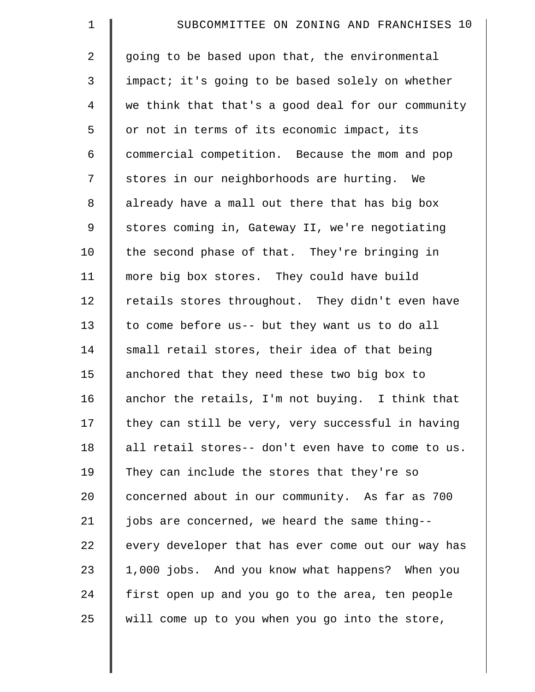| $\mathbf 1$    | SUBCOMMITTEE ON ZONING AND FRANCHISES 10           |
|----------------|----------------------------------------------------|
| 2              | going to be based upon that, the environmental     |
| 3              | impact; it's going to be based solely on whether   |
| $\overline{4}$ | we think that that's a good deal for our community |
| 5              | or not in terms of its economic impact, its        |
| 6              | commercial competition. Because the mom and pop    |
| 7              | stores in our neighborhoods are hurting. We        |
| 8              | already have a mall out there that has big box     |
| 9              | stores coming in, Gateway II, we're negotiating    |
| 10             | the second phase of that. They're bringing in      |
| 11             | more big box stores. They could have build         |
| 12             | retails stores throughout. They didn't even have   |
| 13             | to come before us-- but they want us to do all     |
| 14             | small retail stores, their idea of that being      |
| 15             | anchored that they need these two big box to       |
| 16             | anchor the retails, I'm not buying. I think that   |
| 17             | they can still be very, very successful in having  |
| 18             | all retail stores-- don't even have to come to us. |
| 19             | They can include the stores that they're so        |
| 20             | concerned about in our community. As far as 700    |
| 21             | jobs are concerned, we heard the same thing--      |
| 22             | every developer that has ever come out our way has |
| 23             | 1,000 jobs. And you know what happens? When you    |
| 24             | first open up and you go to the area, ten people   |
| 25             | will come up to you when you go into the store,    |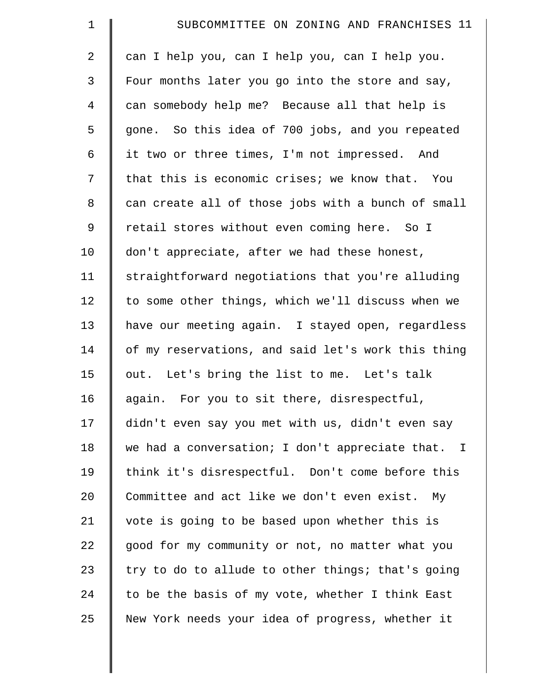| $\mathbf 1$    | SUBCOMMITTEE ON ZONING AND FRANCHISES 11           |
|----------------|----------------------------------------------------|
| $\overline{2}$ | can I help you, can I help you, can I help you.    |
| $\mathfrak{Z}$ | Four months later you go into the store and say,   |
| $\overline{4}$ | can somebody help me? Because all that help is     |
| 5              | gone. So this idea of 700 jobs, and you repeated   |
| 6              | it two or three times, I'm not impressed. And      |
| 7              | that this is economic crises; we know that. You    |
| 8              | can create all of those jobs with a bunch of small |
| $\mathsf 9$    | retail stores without even coming here. So I       |
| 10             | don't appreciate, after we had these honest,       |
| 11             | straightforward negotiations that you're alluding  |
| 12             | to some other things, which we'll discuss when we  |
| 13             | have our meeting again. I stayed open, regardless  |
| 14             | of my reservations, and said let's work this thing |
| 15             | out. Let's bring the list to me. Let's talk        |
| 16             | again. For you to sit there, disrespectful,        |
| 17             | didn't even say you met with us, didn't even say   |
| 18             | we had a conversation; I don't appreciate that. I  |
| 19             | think it's disrespectful. Don't come before this   |
| 20             | Committee and act like we don't even exist. My     |
| 21             | vote is going to be based upon whether this is     |
| 22             | good for my community or not, no matter what you   |
| 23             | try to do to allude to other things; that's going  |
| 24             | to be the basis of my vote, whether I think East   |
| 25             | New York needs your idea of progress, whether it   |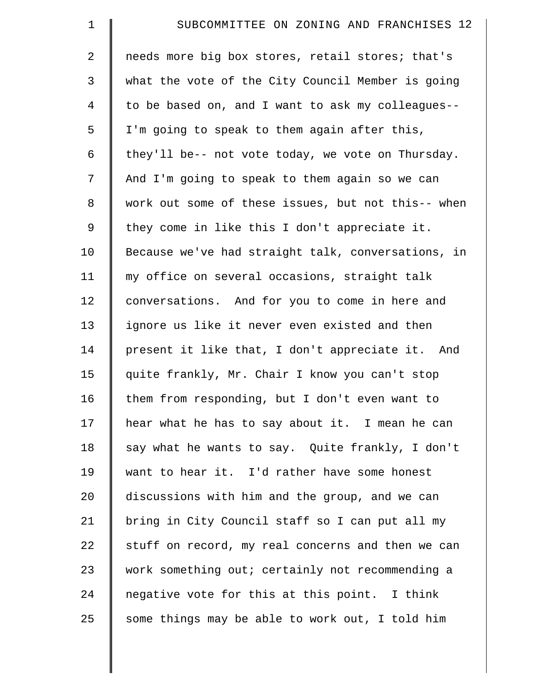| $\mathbf 1$    | SUBCOMMITTEE ON ZONING AND FRANCHISES 12           |
|----------------|----------------------------------------------------|
| $\overline{a}$ | needs more big box stores, retail stores; that's   |
| 3              | what the vote of the City Council Member is going  |
| $\overline{4}$ | to be based on, and I want to ask my colleagues--  |
| 5              | I'm going to speak to them again after this,       |
| 6              | they'll be-- not vote today, we vote on Thursday.  |
| 7              | And I'm going to speak to them again so we can     |
| 8              | work out some of these issues, but not this-- when |
| 9              | they come in like this I don't appreciate it.      |
| 10             | Because we've had straight talk, conversations, in |
| 11             | my office on several occasions, straight talk      |
| 12             | conversations. And for you to come in here and     |
| 13             | ignore us like it never even existed and then      |
| 14             | present it like that, I don't appreciate it. And   |
| 15             | quite frankly, Mr. Chair I know you can't stop     |
| 16             | them from responding, but I don't even want to     |
| 17             | hear what he has to say about it. I mean he can    |
| 18             | say what he wants to say. Quite frankly, I don't   |
| 19             | want to hear it. I'd rather have some honest       |
| 20             | discussions with him and the group, and we can     |
| 21             | bring in City Council staff so I can put all my    |
| 22             | stuff on record, my real concerns and then we can  |
| 23             | work something out; certainly not recommending a   |
| 24             | negative vote for this at this point. I think      |
| 25             | some things may be able to work out, I told him    |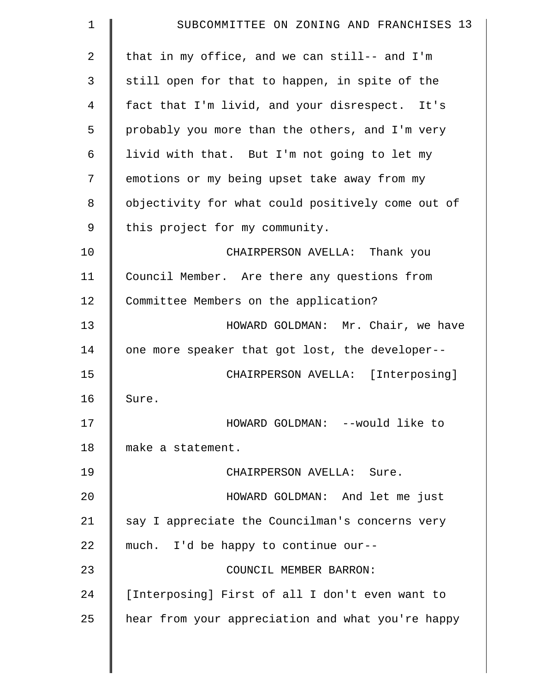| 1           | SUBCOMMITTEE ON ZONING AND FRANCHISES 13          |
|-------------|---------------------------------------------------|
| 2           | that in my office, and we can still-- and I'm     |
| 3           | still open for that to happen, in spite of the    |
| 4           | fact that I'm livid, and your disrespect. It's    |
| 5           | probably you more than the others, and I'm very   |
| 6           | livid with that. But I'm not going to let my      |
| 7           | emotions or my being upset take away from my      |
| 8           | objectivity for what could positively come out of |
| $\mathsf 9$ | this project for my community.                    |
| 10          | CHAIRPERSON AVELLA: Thank you                     |
| 11          | Council Member. Are there any questions from      |
| 12          | Committee Members on the application?             |
| 13          | HOWARD GOLDMAN: Mr. Chair, we have                |
| 14          | one more speaker that got lost, the developer--   |
| 15          | CHAIRPERSON AVELLA: [Interposing]                 |
| 16          | Sure.                                             |
| 17          | HOWARD GOLDMAN: --would like to                   |
| 18          | make a statement.                                 |
| 19          | CHAIRPERSON AVELLA: Sure.                         |
| 20          | HOWARD GOLDMAN: And let me just                   |
| 21          | say I appreciate the Councilman's concerns very   |
| 22          | much. I'd be happy to continue our--              |
| 23          | COUNCIL MEMBER BARRON:                            |
| 24          | [Interposing] First of all I don't even want to   |
| 25          | hear from your appreciation and what you're happy |
|             |                                                   |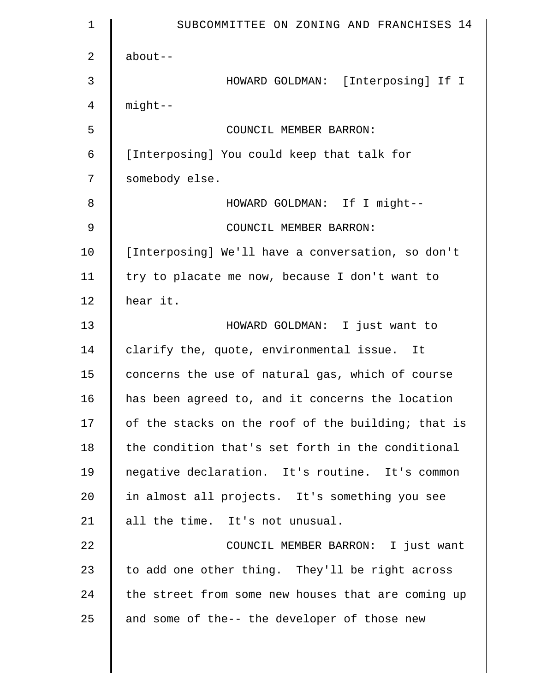| $\mathbf 1$    | SUBCOMMITTEE ON ZONING AND FRANCHISES 14           |
|----------------|----------------------------------------------------|
| $\overline{a}$ | $about--$                                          |
| 3              | HOWARD GOLDMAN: [Interposing] If I                 |
| 4              | $mid$ --                                           |
| 5              | COUNCIL MEMBER BARRON:                             |
| 6              | [Interposing] You could keep that talk for         |
| 7              | somebody else.                                     |
| 8              | HOWARD GOLDMAN: If I might--                       |
| 9              | COUNCIL MEMBER BARRON:                             |
| 10             | [Interposing] We'll have a conversation, so don't  |
| 11             | try to placate me now, because I don't want to     |
| 12             | hear it.                                           |
| 13             | HOWARD GOLDMAN: I just want to                     |
| 14             | clarify the, quote, environmental issue. It        |
| 15             | concerns the use of natural gas, which of course   |
| 16             | has been agreed to, and it concerns the location   |
| 17             | of the stacks on the roof of the building; that is |
| 18             | the condition that's set forth in the conditional  |
| 19             | negative declaration. It's routine. It's common    |
| 20             | in almost all projects. It's something you see     |
| 21             | all the time. It's not unusual.                    |
| 22             | COUNCIL MEMBER BARRON: I just want                 |
| 23             | to add one other thing. They'll be right across    |
| 24             | the street from some new houses that are coming up |
| 25             | and some of the-- the developer of those new       |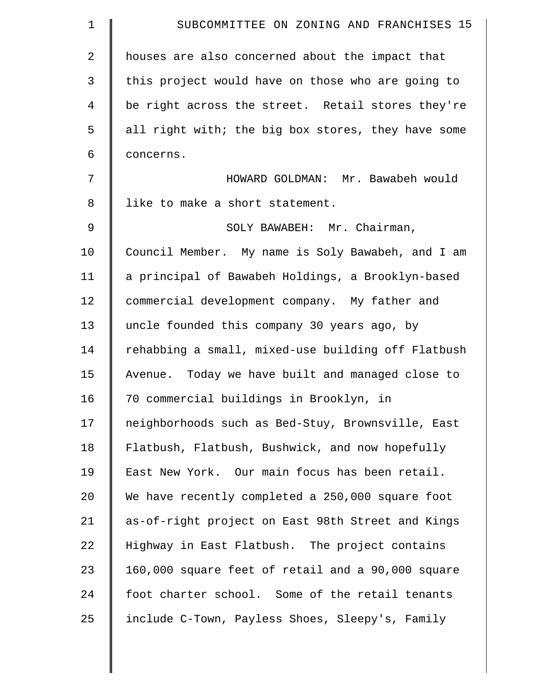| $\mathbf 1$ | SUBCOMMITTEE ON ZONING AND FRANCHISES 15           |
|-------------|----------------------------------------------------|
| 2           | houses are also concerned about the impact that    |
| 3           | this project would have on those who are going to  |
| 4           | be right across the street. Retail stores they're  |
| 5           | all right with; the big box stores, they have some |
| 6           | concerns.                                          |
| 7           | HOWARD GOLDMAN: Mr. Bawabeh would                  |
| 8           | like to make a short statement.                    |
| 9           | SOLY BAWABEH: Mr. Chairman,                        |
| 10          | Council Member. My name is Soly Bawabeh, and I am  |
| 11          | a principal of Bawabeh Holdings, a Brooklyn-based  |
| 12          | commercial development company. My father and      |
| 13          | uncle founded this company 30 years ago, by        |
| 14          | rehabbing a small, mixed-use building off Flatbush |
| 15          | Avenue. Today we have built and managed close to   |
| 16          | 70 commercial buildings in Brooklyn, in            |
| 17          | neighborhoods such as Bed-Stuy, Brownsville, East  |
| 18          | Flatbush, Flatbush, Bushwick, and now hopefully    |
| 19          | East New York. Our main focus has been retail.     |
| 20          | We have recently completed a 250,000 square foot   |
| 21          | as-of-right project on East 98th Street and Kings  |
| 22          | Highway in East Flatbush. The project contains     |
| 23          | 160,000 square feet of retail and a 90,000 square  |
| 24          | foot charter school. Some of the retail tenants    |
| 25          | include C-Town, Payless Shoes, Sleepy's, Family    |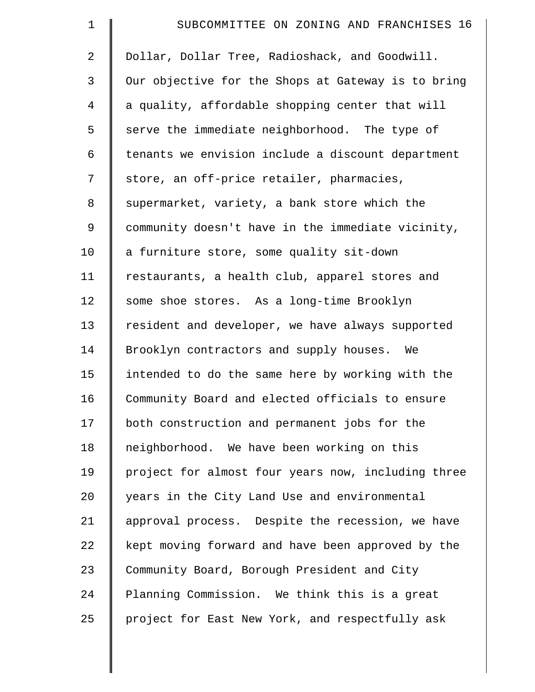| $\mathbf 1$    | SUBCOMMITTEE ON ZONING AND FRANCHISES 16           |
|----------------|----------------------------------------------------|
| $\overline{2}$ | Dollar, Dollar Tree, Radioshack, and Goodwill.     |
| 3              | Our objective for the Shops at Gateway is to bring |
| $\overline{4}$ | a quality, affordable shopping center that will    |
| 5              | serve the immediate neighborhood. The type of      |
| 6              | tenants we envision include a discount department  |
| 7              | store, an off-price retailer, pharmacies,          |
| 8              | supermarket, variety, a bank store which the       |
| 9              | community doesn't have in the immediate vicinity,  |
| 10             | a furniture store, some quality sit-down           |
| 11             | restaurants, a health club, apparel stores and     |
| 12             | some shoe stores. As a long-time Brooklyn          |
| 13             | resident and developer, we have always supported   |
| 14             | Brooklyn contractors and supply houses. We         |
| 15             | intended to do the same here by working with the   |
| 16             | Community Board and elected officials to ensure    |
| 17             | both construction and permanent jobs for the       |
| 18             | neighborhood. We have been working on this         |
| 19             | project for almost four years now, including three |
| $20 \,$        | years in the City Land Use and environmental       |
| 21             | approval process. Despite the recession, we have   |
| 22             | kept moving forward and have been approved by the  |
| 23             | Community Board, Borough President and City        |
| 24             | Planning Commission. We think this is a great      |
| 25             | project for East New York, and respectfully ask    |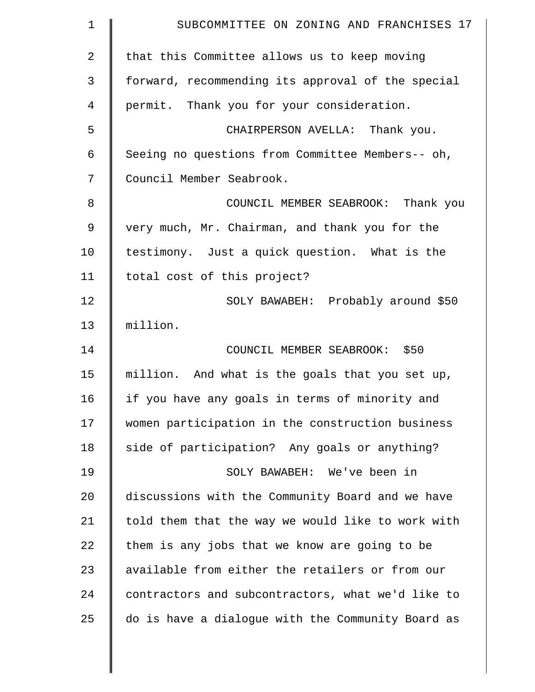| 1              | SUBCOMMITTEE ON ZONING AND FRANCHISES 17          |
|----------------|---------------------------------------------------|
| $\overline{2}$ | that this Committee allows us to keep moving      |
| 3              | forward, recommending its approval of the special |
| 4              | permit. Thank you for your consideration.         |
| 5              | CHAIRPERSON AVELLA: Thank you.                    |
| 6              | Seeing no questions from Committee Members-- oh,  |
| 7              | Council Member Seabrook.                          |
| 8              | COUNCIL MEMBER SEABROOK: Thank you                |
| $\mathsf 9$    | very much, Mr. Chairman, and thank you for the    |
| 10             | testimony. Just a quick question. What is the     |
| 11             | total cost of this project?                       |
| 12             | SOLY BAWABEH: Probably around \$50                |
| 13             | million.                                          |
| 14             | COUNCIL MEMBER SEABROOK: \$50                     |
| 15             | million. And what is the goals that you set up,   |
| 16             | if you have any goals in terms of minority and    |
| 17             | women participation in the construction business  |
| 18             | side of participation? Any goals or anything?     |
| 19             | SOLY BAWABEH: We've been in                       |
| 20             | discussions with the Community Board and we have  |
| 21             | told them that the way we would like to work with |
| 22             | them is any jobs that we know are going to be     |
| 23             | available from either the retailers or from our   |
| 24             | contractors and subcontractors, what we'd like to |
| 25             | do is have a dialogue with the Community Board as |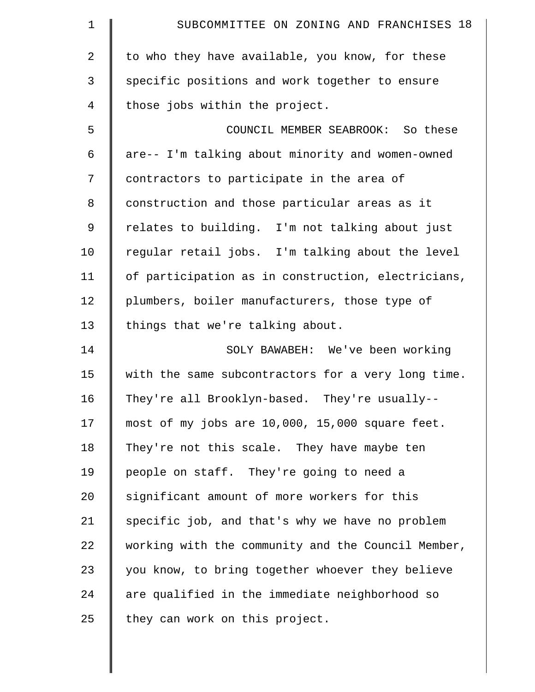| $\mathbf 1$    | SUBCOMMITTEE ON ZONING AND FRANCHISES 18           |
|----------------|----------------------------------------------------|
| $\overline{2}$ | to who they have available, you know, for these    |
| 3              | specific positions and work together to ensure     |
| 4              | those jobs within the project.                     |
| 5              | COUNCIL MEMBER SEABROOK: So these                  |
| 6              | are-- I'm talking about minority and women-owned   |
| 7              | contractors to participate in the area of          |
| 8              | construction and those particular areas as it      |
| 9              | relates to building. I'm not talking about just    |
| 10             | regular retail jobs. I'm talking about the level   |
| 11             | of participation as in construction, electricians, |
| 12             | plumbers, boiler manufacturers, those type of      |
| 13             | things that we're talking about.                   |
| 14             | SOLY BAWABEH: We've been working                   |
| 15             | with the same subcontractors for a very long time. |
| 16             | They're all Brooklyn-based. They're usually--      |
| 17             | most of my jobs are 10,000, 15,000 square feet.    |
| 18             | They're not this scale. They have maybe ten        |
| 19             | people on staff. They're going to need a           |
| 20             | significant amount of more workers for this        |
| 21             | specific job, and that's why we have no problem    |
| 22             | working with the community and the Council Member, |
| 23             | you know, to bring together whoever they believe   |
| 24             | are qualified in the immediate neighborhood so     |
| 25             | they can work on this project.                     |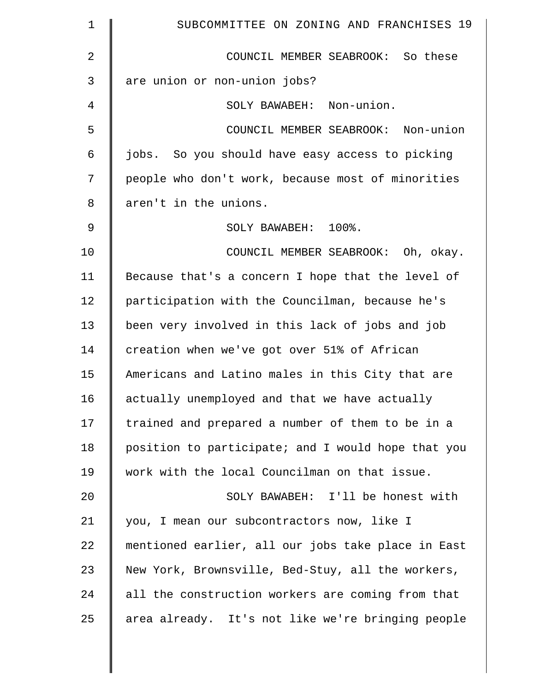| $\mathbf 1$    | SUBCOMMITTEE ON ZONING AND FRANCHISES 19           |
|----------------|----------------------------------------------------|
| $\overline{2}$ | COUNCIL MEMBER SEABROOK: So these                  |
| 3              | are union or non-union jobs?                       |
| 4              | SOLY BAWABEH: Non-union.                           |
| 5              | COUNCIL MEMBER SEABROOK: Non-union                 |
| 6              | jobs. So you should have easy access to picking    |
| 7              | people who don't work, because most of minorities  |
| 8              | aren't in the unions.                              |
| 9              | SOLY BAWABEH: 100%.                                |
| 10             | COUNCIL MEMBER SEABROOK: Oh, okay.                 |
| 11             | Because that's a concern I hope that the level of  |
| 12             | participation with the Councilman, because he's    |
| 13             | been very involved in this lack of jobs and job    |
| 14             | creation when we've got over 51% of African        |
| 15             | Americans and Latino males in this City that are   |
| 16             | actually unemployed and that we have actually      |
| 17             | trained and prepared a number of them to be in a   |
| 18             | position to participate; and I would hope that you |
| 19             | work with the local Councilman on that issue.      |
| 20             | SOLY BAWABEH: I'll be honest with                  |
| 21             | you, I mean our subcontractors now, like I         |
| 22             | mentioned earlier, all our jobs take place in East |
| 23             | New York, Brownsville, Bed-Stuy, all the workers,  |
| 24             | all the construction workers are coming from that  |
| 25             | area already. It's not like we're bringing people  |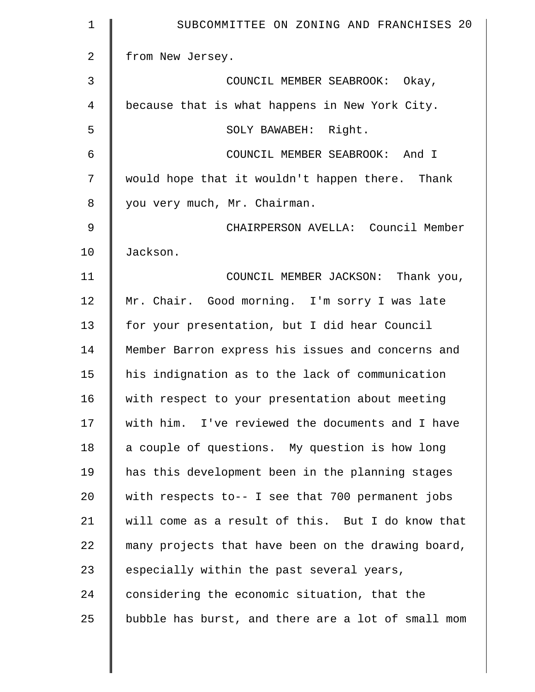| $\mathbf 1$    | SUBCOMMITTEE ON ZONING AND FRANCHISES 20           |
|----------------|----------------------------------------------------|
| $\overline{2}$ | from New Jersey.                                   |
| 3              | COUNCIL MEMBER SEABROOK: Okay,                     |
| 4              | because that is what happens in New York City.     |
| 5              | SOLY BAWABEH: Right.                               |
| 6              | COUNCIL MEMBER SEABROOK: And I                     |
| 7              | would hope that it wouldn't happen there. Thank    |
| 8              | you very much, Mr. Chairman.                       |
| 9              | CHAIRPERSON AVELLA: Council Member                 |
| 10             | Jackson.                                           |
| 11             | COUNCIL MEMBER JACKSON: Thank you,                 |
| 12             | Mr. Chair. Good morning. I'm sorry I was late      |
| 13             | for your presentation, but I did hear Council      |
| 14             | Member Barron express his issues and concerns and  |
| 15             | his indignation as to the lack of communication    |
| 16             | with respect to your presentation about meeting    |
| 17             | with him. I've reviewed the documents and I have   |
| 18             | a couple of questions. My question is how long     |
| 19             | has this development been in the planning stages   |
| 20             | with respects to-- I see that 700 permanent jobs   |
| 21             | will come as a result of this. But I do know that  |
| 22             | many projects that have been on the drawing board, |
| 23             | especially within the past several years,          |
| 24             | considering the economic situation, that the       |
| 25             | bubble has burst, and there are a lot of small mom |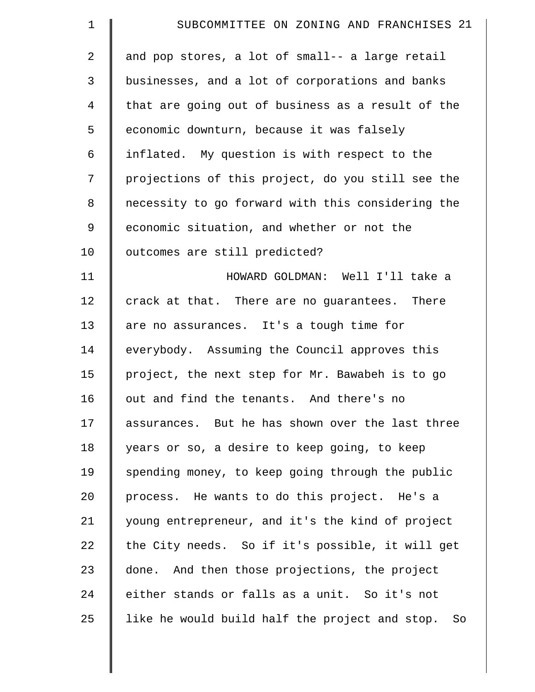| $\mathbf 1$    | SUBCOMMITTEE ON ZONING AND FRANCHISES 21             |
|----------------|------------------------------------------------------|
| $\overline{2}$ | and pop stores, a lot of small-- a large retail      |
| 3              | businesses, and a lot of corporations and banks      |
| $\overline{4}$ | that are going out of business as a result of the    |
| 5              | economic downturn, because it was falsely            |
| 6              | inflated. My question is with respect to the         |
| 7              | projections of this project, do you still see the    |
| 8              | necessity to go forward with this considering the    |
| 9              | economic situation, and whether or not the           |
| 10             | outcomes are still predicted?                        |
| 11             | HOWARD GOLDMAN: Well I'll take a                     |
| 12             | crack at that. There are no guarantees. There        |
| 13             | are no assurances. It's a tough time for             |
| 14             | everybody. Assuming the Council approves this        |
| 15             | project, the next step for Mr. Bawabeh is to go      |
| 16             | out and find the tenants. And there's no             |
| 17             | assurances. But he has shown over the last three     |
| 18             | years or so, a desire to keep going, to keep         |
| 19             | spending money, to keep going through the public     |
| 20             | process. He wants to do this project. He's a         |
| 21             | young entrepreneur, and it's the kind of project     |
| 22             | the City needs. So if it's possible, it will get     |
| 23             | done. And then those projections, the project        |
| 24             | either stands or falls as a unit. So it's not        |
| 25             | like he would build half the project and stop.<br>So |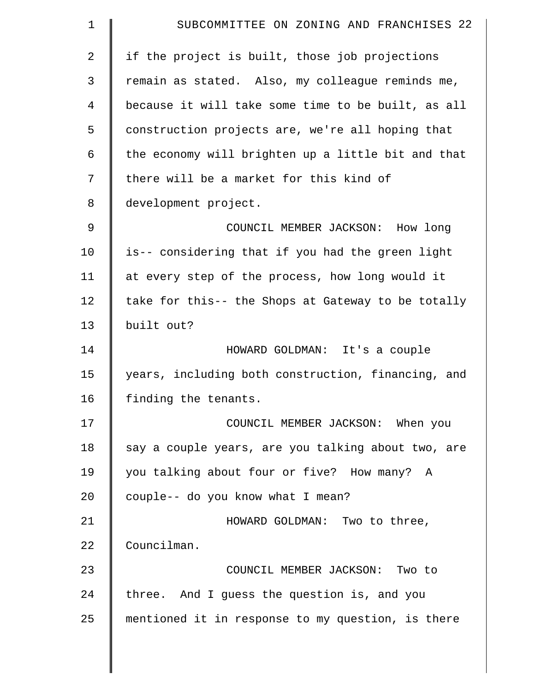| 1  | SUBCOMMITTEE ON ZONING AND FRANCHISES 22           |
|----|----------------------------------------------------|
| 2  | if the project is built, those job projections     |
| 3  | remain as stated. Also, my colleague reminds me,   |
| 4  | because it will take some time to be built, as all |
| 5  | construction projects are, we're all hoping that   |
| 6  | the economy will brighten up a little bit and that |
| 7  | there will be a market for this kind of            |
| 8  | development project.                               |
| 9  | COUNCIL MEMBER JACKSON: How long                   |
| 10 | is-- considering that if you had the green light   |
| 11 | at every step of the process, how long would it    |
| 12 | take for this-- the Shops at Gateway to be totally |
| 13 | built out?                                         |
| 14 | HOWARD GOLDMAN: It's a couple                      |
| 15 | years, including both construction, financing, and |
| 16 | finding the tenants.                               |
| 17 | COUNCIL MEMBER JACKSON: When you                   |
| 18 | say a couple years, are you talking about two, are |
| 19 | you talking about four or five? How many? A        |
| 20 | couple-- do you know what I mean?                  |
| 21 | HOWARD GOLDMAN: Two to three,                      |
| 22 | Councilman.                                        |
| 23 | COUNCIL MEMBER JACKSON: Two to                     |
| 24 | three. And I guess the question is, and you        |
| 25 | mentioned it in response to my question, is there  |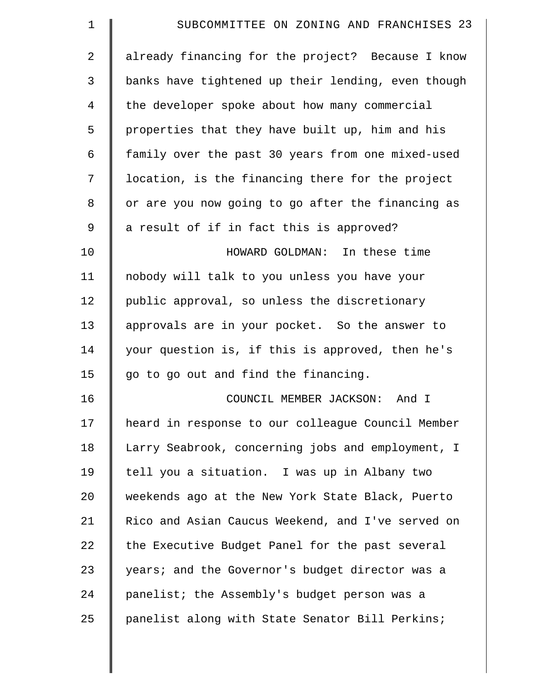| $\mathbf 1$    | SUBCOMMITTEE ON ZONING AND FRANCHISES 23           |
|----------------|----------------------------------------------------|
| $\overline{2}$ | already financing for the project? Because I know  |
| 3              | banks have tightened up their lending, even though |
| 4              | the developer spoke about how many commercial      |
| 5              | properties that they have built up, him and his    |
| 6              | family over the past 30 years from one mixed-used  |
| 7              | location, is the financing there for the project   |
| 8              | or are you now going to go after the financing as  |
| 9              | a result of if in fact this is approved?           |
| 10             | HOWARD GOLDMAN: In these time                      |
| 11             | nobody will talk to you unless you have your       |
| 12             | public approval, so unless the discretionary       |
| 13             | approvals are in your pocket. So the answer to     |
| 14             | your question is, if this is approved, then he's   |
| 15             | go to go out and find the financing.               |
| 16             | COUNCIL MEMBER JACKSON:<br>And I                   |
| 17             | heard in response to our colleague Council Member  |
| 18             | Larry Seabrook, concerning jobs and employment, I  |
| 19             | tell you a situation. I was up in Albany two       |
| 20             | weekends ago at the New York State Black, Puerto   |
| 21             | Rico and Asian Caucus Weekend, and I've served on  |
| 22             | the Executive Budget Panel for the past several    |
| 23             | years; and the Governor's budget director was a    |
| 24             | panelist; the Assembly's budget person was a       |
| 25             | panelist along with State Senator Bill Perkins;    |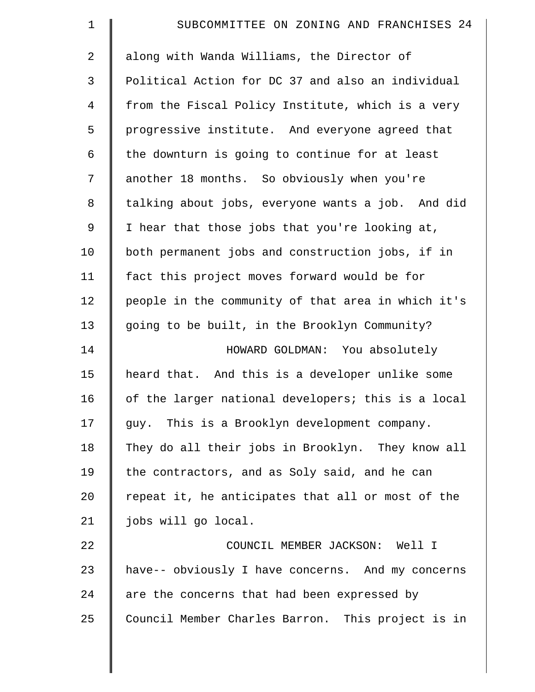| $\mathbf 1$    | SUBCOMMITTEE ON ZONING AND FRANCHISES 24           |
|----------------|----------------------------------------------------|
| $\overline{2}$ | along with Wanda Williams, the Director of         |
| 3              | Political Action for DC 37 and also an individual  |
| $\overline{4}$ | from the Fiscal Policy Institute, which is a very  |
| 5              | progressive institute. And everyone agreed that    |
| 6              | the downturn is going to continue for at least     |
| 7              | another 18 months. So obviously when you're        |
| $\,8\,$        | talking about jobs, everyone wants a job. And did  |
| 9              | I hear that those jobs that you're looking at,     |
| 10             | both permanent jobs and construction jobs, if in   |
| 11             | fact this project moves forward would be for       |
| 12             | people in the community of that area in which it's |
| 13             | going to be built, in the Brooklyn Community?      |
| 14             | HOWARD GOLDMAN: You absolutely                     |
| 15             | heard that. And this is a developer unlike some    |
| 16             | of the larger national developers; this is a local |
| 17             | guy. This is a Brooklyn development company.       |
| 18             | They do all their jobs in Brooklyn. They know all  |
| 19             | the contractors, and as Soly said, and he can      |
| 20             | repeat it, he anticipates that all or most of the  |
| 21             | jobs will go local.                                |
| 22             | COUNCIL MEMBER JACKSON: Well I                     |
| 23             | have-- obviously I have concerns. And my concerns  |
| 24             | are the concerns that had been expressed by        |
| 25             | Council Member Charles Barron. This project is in  |
|                |                                                    |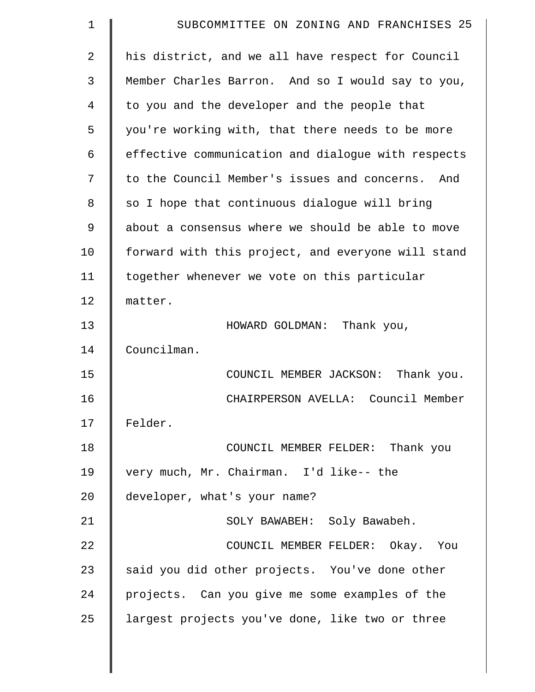| $\mathbf 1$    | SUBCOMMITTEE ON ZONING AND FRANCHISES 25           |
|----------------|----------------------------------------------------|
| $\overline{2}$ | his district, and we all have respect for Council  |
| 3              | Member Charles Barron. And so I would say to you,  |
| 4              | to you and the developer and the people that       |
| 5              | you're working with, that there needs to be more   |
| 6              | effective communication and dialogue with respects |
| 7              | to the Council Member's issues and concerns. And   |
| 8              | so I hope that continuous dialogue will bring      |
| 9              | about a consensus where we should be able to move  |
| 10             | forward with this project, and everyone will stand |
| 11             | together whenever we vote on this particular       |
| 12             | matter.                                            |
| 13             | HOWARD GOLDMAN: Thank you,                         |
| 14             | Councilman.                                        |
| 15             | COUNCIL MEMBER JACKSON:<br>Thank you.              |
| 16             | CHAIRPERSON AVELLA: Council Member                 |
| 17             | Felder.                                            |
| 18             | COUNCIL MEMBER FELDER: Thank you                   |
| 19             | very much, Mr. Chairman. I'd like-- the            |
| 20             | developer, what's your name?                       |
| 21             | SOLY BAWABEH: Soly Bawabeh.                        |
| 22             | COUNCIL MEMBER FELDER: Okay. You                   |
| 23             | said you did other projects. You've done other     |
| 24             | projects. Can you give me some examples of the     |
| 25             | largest projects you've done, like two or three    |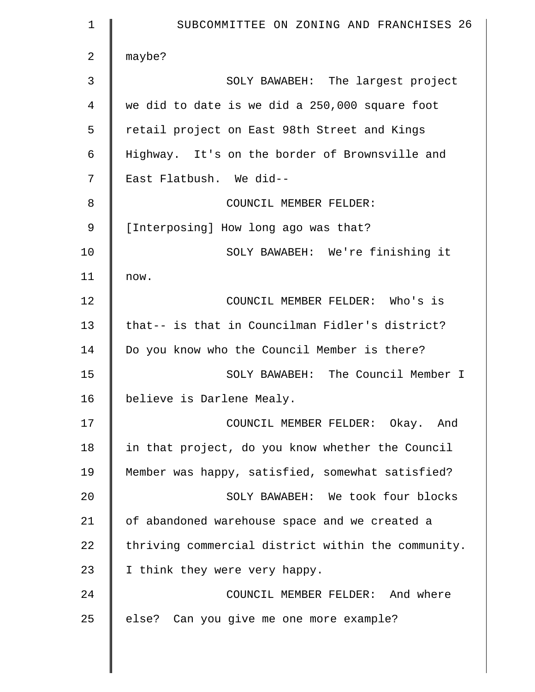| $\mathbf 1$ | SUBCOMMITTEE ON ZONING AND FRANCHISES 26           |
|-------------|----------------------------------------------------|
| 2           | maybe?                                             |
| 3           | SOLY BAWABEH: The largest project                  |
| 4           | we did to date is we did a 250,000 square foot     |
| 5           | retail project on East 98th Street and Kings       |
| 6           | Highway. It's on the border of Brownsville and     |
| 7           | East Flatbush. We did--                            |
| 8           | COUNCIL MEMBER FELDER:                             |
| 9           | [Interposing] How long ago was that?               |
| 10          | SOLY BAWABEH: We're finishing it                   |
| 11          | now.                                               |
| 12          | COUNCIL MEMBER FELDER: Who's is                    |
| 13          | that-- is that in Councilman Fidler's district?    |
| 14          | Do you know who the Council Member is there?       |
| 15          | SOLY BAWABEH: The Council Member I                 |
| 16          | believe is Darlene Mealy.                          |
| 17          | COUNCIL MEMBER FELDER: Okay. And                   |
| 18          | in that project, do you know whether the Council   |
| 19          | Member was happy, satisfied, somewhat satisfied?   |
| 20          | SOLY BAWABEH: We took four blocks                  |
| 21          | of abandoned warehouse space and we created a      |
| 22          | thriving commercial district within the community. |
| 23          | I think they were very happy.                      |
| 24          | COUNCIL MEMBER FELDER: And where                   |
| 25          | else? Can you give me one more example?            |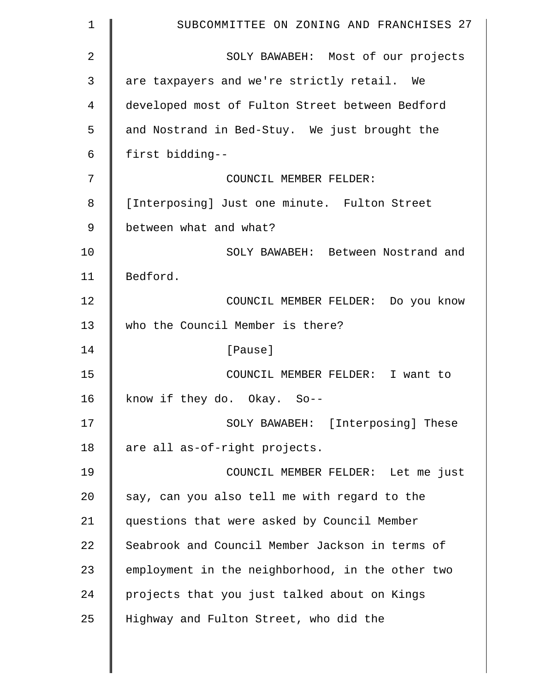| $\mathbf 1$ | SUBCOMMITTEE ON ZONING AND FRANCHISES 27         |
|-------------|--------------------------------------------------|
| 2           | SOLY BAWABEH: Most of our projects               |
| 3           | are taxpayers and we're strictly retail. We      |
| 4           | developed most of Fulton Street between Bedford  |
| 5           | and Nostrand in Bed-Stuy. We just brought the    |
| 6           | first bidding--                                  |
| 7           | COUNCIL MEMBER FELDER:                           |
| 8           | [Interposing] Just one minute. Fulton Street     |
| 9           | between what and what?                           |
| 10          | SOLY BAWABEH: Between Nostrand and               |
| 11          | Bedford.                                         |
| 12          | COUNCIL MEMBER FELDER: Do you know               |
| 13          | who the Council Member is there?                 |
| 14          | [Pause]                                          |
| 15          | COUNCIL MEMBER FELDER: I want to                 |
| 16          | know if they do. Okay. So--                      |
| 17          | SOLY BAWABEH: [Interposing] These                |
| 18          | are all as-of-right projects.                    |
| 19          | COUNCIL MEMBER FELDER: Let me just               |
| 20          | say, can you also tell me with regard to the     |
| 21          | questions that were asked by Council Member      |
| 22          | Seabrook and Council Member Jackson in terms of  |
| 23          | employment in the neighborhood, in the other two |
| 24          | projects that you just talked about on Kings     |
| 25          | Highway and Fulton Street, who did the           |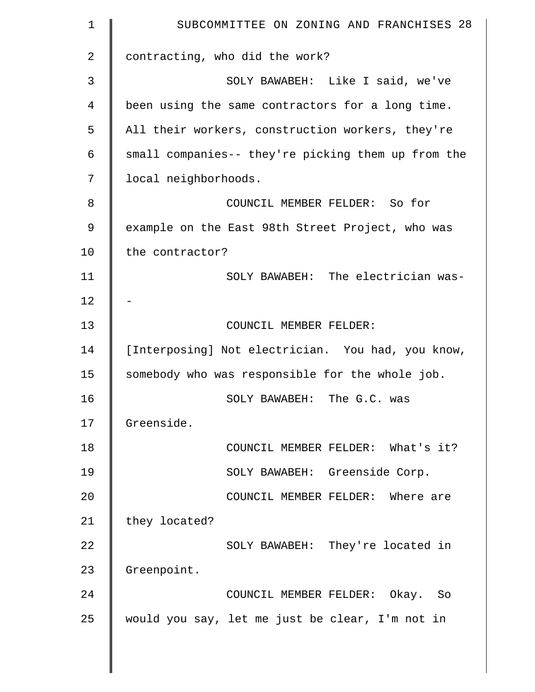| $\mathbf 1$ | SUBCOMMITTEE ON ZONING AND FRANCHISES 28           |
|-------------|----------------------------------------------------|
| 2           | contracting, who did the work?                     |
| 3           | SOLY BAWABEH: Like I said, we've                   |
| 4           | been using the same contractors for a long time.   |
| 5           | All their workers, construction workers, they're   |
| 6           | small companies-- they're picking them up from the |
| 7           | local neighborhoods.                               |
| 8           | COUNCIL MEMBER FELDER: So for                      |
| 9           | example on the East 98th Street Project, who was   |
| 10          | the contractor?                                    |
| 11          | SOLY BAWABEH: The electrician was-                 |
| 12          |                                                    |
| 13          | COUNCIL MEMBER FELDER:                             |
| 14          | [Interposing] Not electrician. You had, you know,  |
| 15          | somebody who was responsible for the whole job.    |
| 16          | SOLY BAWABEH: The G.C. was                         |
| 17          | Greenside.                                         |
| 18          | COUNCIL MEMBER FELDER: What's it?                  |
| 19          | SOLY BAWABEH: Greenside Corp.                      |
| 20          | COUNCIL MEMBER FELDER: Where are                   |
| 21          | they located?                                      |
| 22          | SOLY BAWABEH: They're located in                   |
| 23          | Greenpoint.                                        |
| 24          | COUNCIL MEMBER FELDER: Okay. So                    |
| 25          | would you say, let me just be clear, I'm not in    |
|             |                                                    |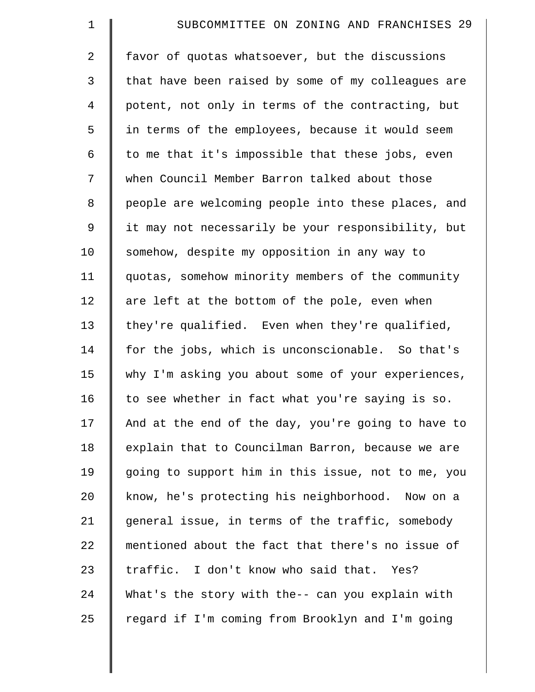| $\mathbf 1$    | SUBCOMMITTEE ON ZONING AND FRANCHISES 29           |
|----------------|----------------------------------------------------|
| $\overline{a}$ | favor of quotas whatsoever, but the discussions    |
| 3              | that have been raised by some of my colleagues are |
| $\overline{4}$ | potent, not only in terms of the contracting, but  |
| 5              | in terms of the employees, because it would seem   |
| 6              | to me that it's impossible that these jobs, even   |
| 7              | when Council Member Barron talked about those      |
| 8              | people are welcoming people into these places, and |
| 9              | it may not necessarily be your responsibility, but |
| 10             | somehow, despite my opposition in any way to       |
| 11             | quotas, somehow minority members of the community  |
| 12             | are left at the bottom of the pole, even when      |
| 13             | they're qualified. Even when they're qualified,    |
| 14             | for the jobs, which is unconscionable. So that's   |
| 15             | why I'm asking you about some of your experiences, |
| 16             | to see whether in fact what you're saying is so.   |
| 17             | And at the end of the day, you're going to have to |
| 18             | explain that to Councilman Barron, because we are  |
| 19             | going to support him in this issue, not to me, you |
| 20             | know, he's protecting his neighborhood. Now on a   |
| 21             | general issue, in terms of the traffic, somebody   |
| 22             | mentioned about the fact that there's no issue of  |
| 23             | traffic. I don't know who said that. Yes?          |
| 24             | What's the story with the-- can you explain with   |
| 25             | regard if I'm coming from Brooklyn and I'm going   |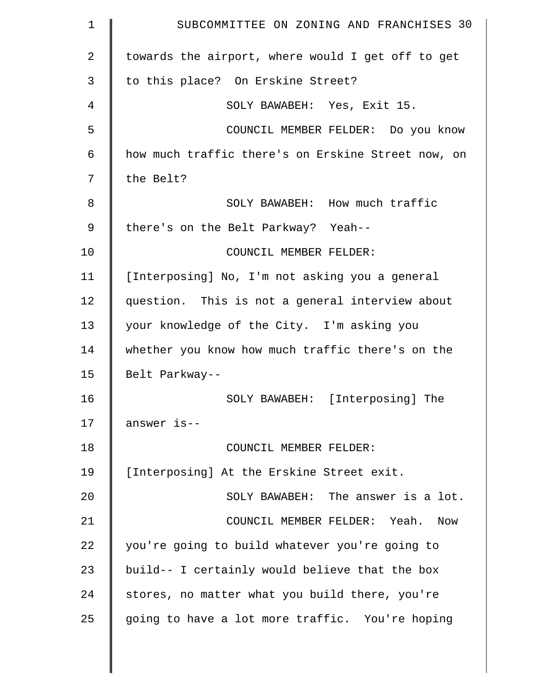| $\mathbf 1$    | SUBCOMMITTEE ON ZONING AND FRANCHISES 30           |
|----------------|----------------------------------------------------|
| $\overline{2}$ | towards the airport, where would I get off to get  |
| 3              | to this place? On Erskine Street?                  |
| 4              | SOLY BAWABEH: Yes, Exit 15.                        |
| 5              | COUNCIL MEMBER FELDER: Do you know                 |
| 6              | how much traffic there's on Erskine Street now, on |
| 7              | the Belt?                                          |
| 8              | SOLY BAWABEH: How much traffic                     |
| 9              | there's on the Belt Parkway? Yeah--                |
| 10             | COUNCIL MEMBER FELDER:                             |
| 11             | [Interposing] No, I'm not asking you a general     |
| 12             | question. This is not a general interview about    |
| 13             | your knowledge of the City. I'm asking you         |
| 14             | whether you know how much traffic there's on the   |
| 15             | Belt Parkway--                                     |
| 16             | SOLY BAWABEH: [Interposing] The                    |
| 17             | answer is--                                        |
| 18             | COUNCIL MEMBER FELDER:                             |
| 19             | [Interposing] At the Erskine Street exit.          |
| 20             | SOLY BAWABEH: The answer is a lot.                 |
| 21             | COUNCIL MEMBER FELDER: Yeah. Now                   |
| 22             | you're going to build whatever you're going to     |
| 23             | build-- I certainly would believe that the box     |
| 24             | stores, no matter what you build there, you're     |
| 25             | going to have a lot more traffic. You're hoping    |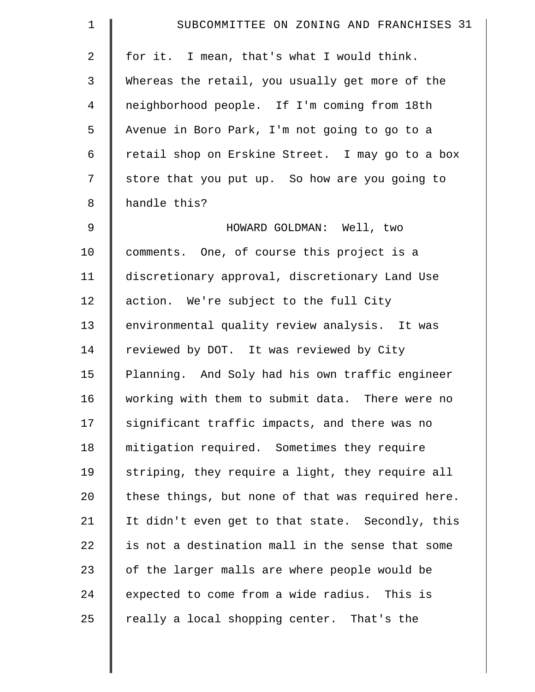| $\mathbf 1$    | SUBCOMMITTEE ON ZONING AND FRANCHISES 31          |
|----------------|---------------------------------------------------|
| $\overline{a}$ | for it. I mean, that's what I would think.        |
| 3              | Whereas the retail, you usually get more of the   |
| $\overline{4}$ | neighborhood people. If I'm coming from 18th      |
| 5              | Avenue in Boro Park, I'm not going to go to a     |
| 6              | retail shop on Erskine Street. I may go to a box  |
| 7              | store that you put up. So how are you going to    |
| 8              | handle this?                                      |
| 9              | HOWARD GOLDMAN: Well, two                         |
| 10             | comments. One, of course this project is a        |
| 11             | discretionary approval, discretionary Land Use    |
| 12             | action. We're subject to the full City            |
| 13             | environmental quality review analysis. It was     |
| 14             | reviewed by DOT. It was reviewed by City          |
| 15             | Planning. And Soly had his own traffic engineer   |
| 16             | working with them to submit data. There were no   |
| 17             | significant traffic impacts, and there was no     |
| 18             | mitigation required. Sometimes they require       |
| 19             | striping, they require a light, they require all  |
| 20             | these things, but none of that was required here. |
| 21             | It didn't even get to that state. Secondly, this  |
| 22             | is not a destination mall in the sense that some  |
| 23             | of the larger malls are where people would be     |
| 24             | expected to come from a wide radius. This is      |
| 25             | really a local shopping center. That's the        |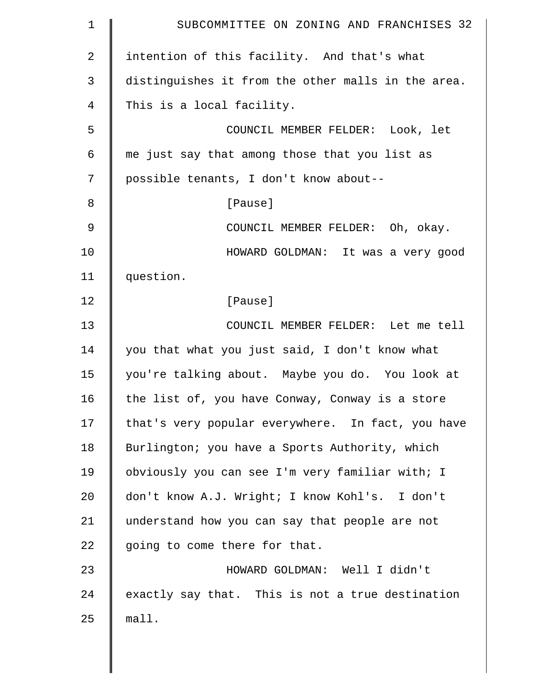| $\mathbf 1$    | SUBCOMMITTEE ON ZONING AND FRANCHISES 32           |
|----------------|----------------------------------------------------|
| $\overline{2}$ | intention of this facility. And that's what        |
| 3              | distinguishes it from the other malls in the area. |
| 4              | This is a local facility.                          |
| 5              | COUNCIL MEMBER FELDER: Look, let                   |
| 6              | me just say that among those that you list as      |
| 7              | possible tenants, I don't know about--             |
| 8              | [Pause]                                            |
| 9              | COUNCIL MEMBER FELDER: Oh, okay.                   |
| 10             | HOWARD GOLDMAN: It was a very good                 |
| 11             | question.                                          |
| 12             | [Pause]                                            |
| 13             | COUNCIL MEMBER FELDER: Let me tell                 |
| 14             | you that what you just said, I don't know what     |
| 15             | you're talking about. Maybe you do. You look at    |
| 16             | the list of, you have Conway, Conway is a store    |
| 17             | that's very popular everywhere. In fact, you have  |
| 18             | Burlington; you have a Sports Authority, which     |
| 19             | obviously you can see I'm very familiar with; I    |
| 20             | don't know A.J. Wright; I know Kohl's. I don't     |
| 21             | understand how you can say that people are not     |
| 22             | going to come there for that.                      |
| 23             | HOWARD GOLDMAN: Well I didn't                      |
| 24             | exactly say that. This is not a true destination   |
| 25             | mall.                                              |
|                |                                                    |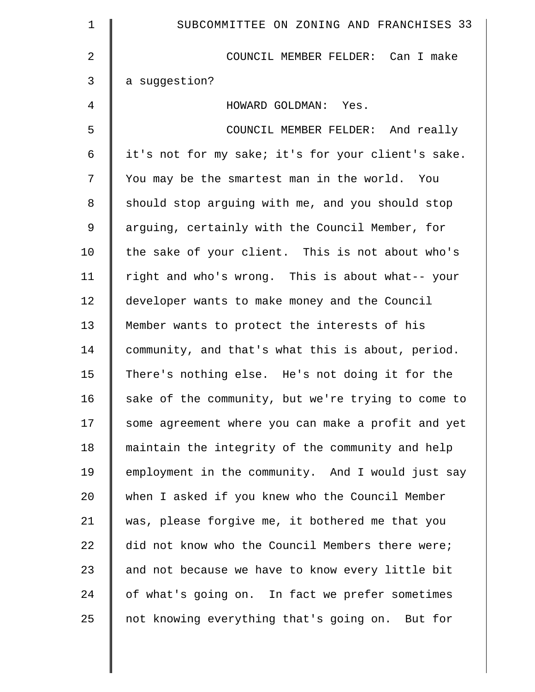| 1              | SUBCOMMITTEE ON ZONING AND FRANCHISES 33           |
|----------------|----------------------------------------------------|
| $\overline{2}$ | COUNCIL MEMBER FELDER: Can I make                  |
| 3              | a suggestion?                                      |
| 4              | HOWARD GOLDMAN: Yes.                               |
| 5              | COUNCIL MEMBER FELDER: And really                  |
| 6              | it's not for my sake; it's for your client's sake. |
| 7              | You may be the smartest man in the world. You      |
| 8              | should stop arguing with me, and you should stop   |
| 9              | arguing, certainly with the Council Member, for    |
| 10             | the sake of your client. This is not about who's   |
| 11             | right and who's wrong. This is about what-- your   |
| 12             | developer wants to make money and the Council      |
| 13             | Member wants to protect the interests of his       |
| 14             | community, and that's what this is about, period.  |
| 15             | There's nothing else. He's not doing it for the    |
| 16             | sake of the community, but we're trying to come to |
| 17             | some agreement where you can make a profit and yet |
| 18             | maintain the integrity of the community and help   |
| 19             | employment in the community. And I would just say  |
| 20             | when I asked if you knew who the Council Member    |
| 21             | was, please forgive me, it bothered me that you    |
| 22             | did not know who the Council Members there were;   |
| 23             | and not because we have to know every little bit   |
| 24             | of what's going on. In fact we prefer sometimes    |
| 25             | not knowing everything that's going on. But for    |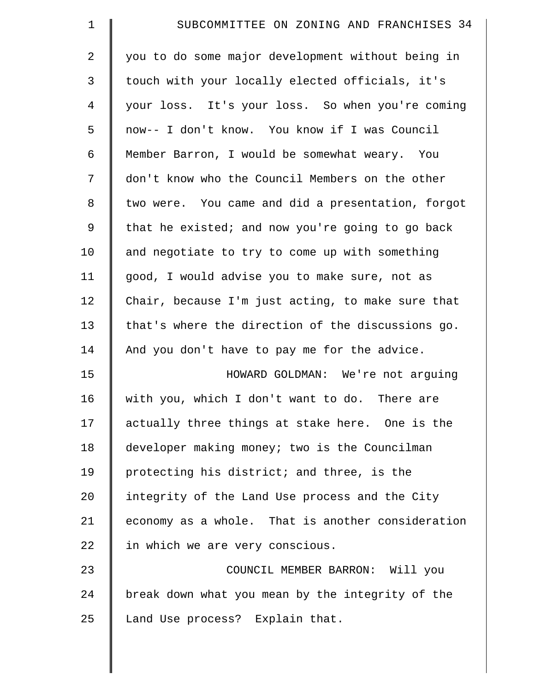| $\mathbf 1$    | SUBCOMMITTEE ON ZONING AND FRANCHISES 34          |
|----------------|---------------------------------------------------|
| 2              | you to do some major development without being in |
| $\mathfrak{Z}$ | touch with your locally elected officials, it's   |
| 4              | your loss. It's your loss. So when you're coming  |
| 5              | now-- I don't know. You know if I was Council     |
| 6              | Member Barron, I would be somewhat weary. You     |
| 7              | don't know who the Council Members on the other   |
| 8              | two were. You came and did a presentation, forgot |
| $\mathsf 9$    | that he existed; and now you're going to go back  |
| 10             | and negotiate to try to come up with something    |
| 11             | good, I would advise you to make sure, not as     |
| 12             | Chair, because I'm just acting, to make sure that |
| 13             | that's where the direction of the discussions go. |
| 14             | And you don't have to pay me for the advice.      |
| 15             | HOWARD GOLDMAN: We're not arguing                 |
| 16             | with you, which I don't want to do. There are     |
| 17             | actually three things at stake here. One is the   |
| 18             | developer making money; two is the Councilman     |
| 19             | protecting his district; and three, is the        |
| 20             | integrity of the Land Use process and the City    |
| 21             | economy as a whole. That is another consideration |
| 22             | in which we are very conscious.                   |
| 23             | COUNCIL MEMBER BARRON: Will you                   |
| 24             | break down what you mean by the integrity of the  |
| 25             | Land Use process? Explain that.                   |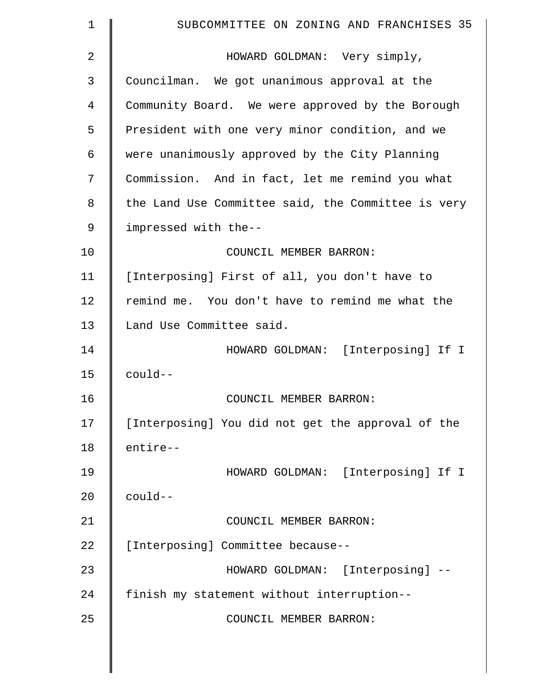| $\mathbf 1$ | SUBCOMMITTEE ON ZONING AND FRANCHISES 35           |
|-------------|----------------------------------------------------|
| 2           | HOWARD GOLDMAN: Very simply,                       |
| 3           | Councilman. We got unanimous approval at the       |
| 4           | Community Board. We were approved by the Borough   |
| 5           | President with one very minor condition, and we    |
| 6           | were unanimously approved by the City Planning     |
| 7           | Commission. And in fact, let me remind you what    |
| 8           | the Land Use Committee said, the Committee is very |
| 9           | impressed with the--                               |
| 10          | COUNCIL MEMBER BARRON:                             |
| 11          | [Interposing] First of all, you don't have to      |
| 12          | remind me. You don't have to remind me what the    |
| 13          | Land Use Committee said.                           |
| 14          | HOWARD GOLDMAN: [Interposing] If I                 |
| 15          | $coul$ d--                                         |
| 16          | COUNCIL MEMBER BARRON:                             |
| 17          | [Interposing] You did not get the approval of the  |
| 18          | entire--                                           |
| 19          | HOWARD GOLDMAN: [Interposing] If I                 |
| 20          | $coul$ d--                                         |
| 21          | COUNCIL MEMBER BARRON:                             |
| 22          | [Interposing] Committee because--                  |
| 23          | HOWARD GOLDMAN: [Interposing] --                   |
| 24          | finish my statement without interruption--         |
| 25          | COUNCIL MEMBER BARRON:                             |
|             |                                                    |

 $\parallel$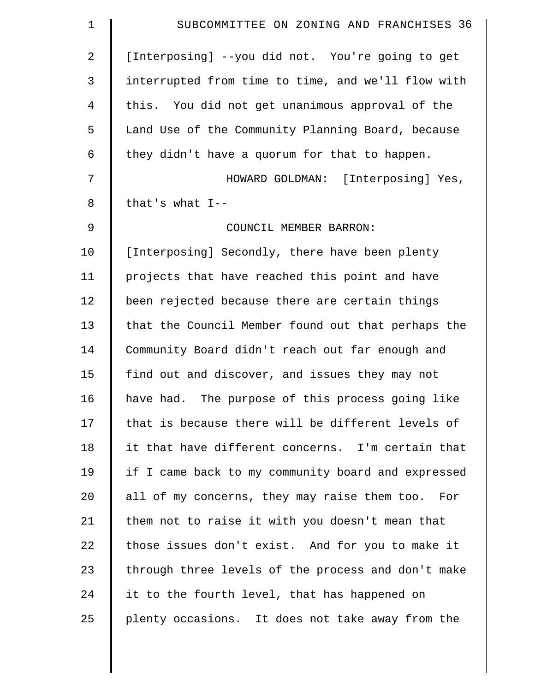| $\mathbf 1$    | SUBCOMMITTEE ON ZONING AND FRANCHISES 36           |
|----------------|----------------------------------------------------|
| $\overline{2}$ | [Interposing] --you did not. You're going to get   |
| 3              | interrupted from time to time, and we'll flow with |
| $\overline{4}$ | this. You did not get unanimous approval of the    |
| 5              | Land Use of the Community Planning Board, because  |
| 6              | they didn't have a quorum for that to happen.      |
| 7              | HOWARD GOLDMAN: [Interposing] Yes,                 |
| 8              | that's what $I--$                                  |
| 9              | COUNCIL MEMBER BARRON:                             |
| 10             | [Interposing] Secondly, there have been plenty     |
| 11             | projects that have reached this point and have     |
| 12             | been rejected because there are certain things     |
| 13             | that the Council Member found out that perhaps the |
| 14             | Community Board didn't reach out far enough and    |
| 15             | find out and discover, and issues they may not     |
| 16             | have had. The purpose of this process going like   |
| 17             | that is because there will be different levels of  |
| 18             | it that have different concerns. I'm certain that  |
| 19             | if I came back to my community board and expressed |
| 20             | all of my concerns, they may raise them too. For   |
| 21             | them not to raise it with you doesn't mean that    |
| 22             | those issues don't exist. And for you to make it   |
| 23             | through three levels of the process and don't make |
| 24             | it to the fourth level, that has happened on       |
| 25             | plenty occasions. It does not take away from the   |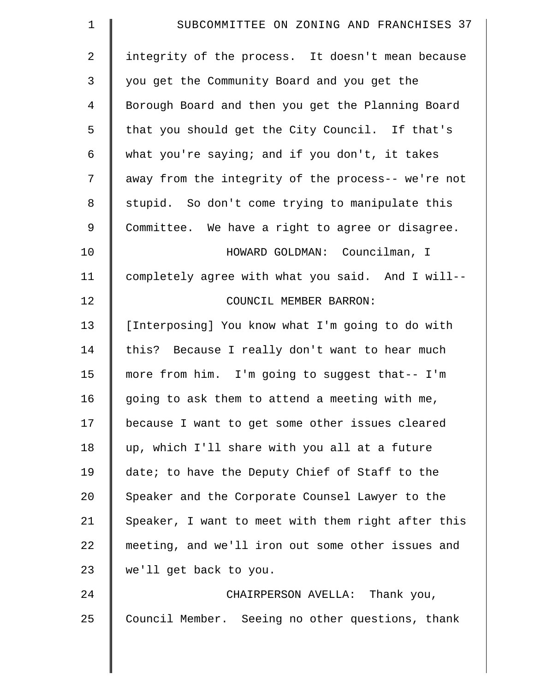| $\mathbf 1$    | SUBCOMMITTEE ON ZONING AND FRANCHISES 37           |
|----------------|----------------------------------------------------|
| $\overline{2}$ | integrity of the process. It doesn't mean because  |
| 3              | you get the Community Board and you get the        |
| $\overline{4}$ | Borough Board and then you get the Planning Board  |
| 5              | that you should get the City Council. If that's    |
| 6              | what you're saying; and if you don't, it takes     |
| 7              | away from the integrity of the process-- we're not |
| 8              | stupid. So don't come trying to manipulate this    |
| $\mathsf 9$    | Committee. We have a right to agree or disagree.   |
| 10             | HOWARD GOLDMAN: Councilman, I                      |
| 11             | completely agree with what you said. And I will--  |
| 12             | COUNCIL MEMBER BARRON:                             |
| 13             | [Interposing] You know what I'm going to do with   |
| 14             | this? Because I really don't want to hear much     |
| 15             | more from him. I'm going to suggest that-- I'm     |
| 16             | going to ask them to attend a meeting with me,     |
| 17             | because I want to get some other issues cleared    |
| 18             | up, which I'll share with you all at a future      |
| 19             | date; to have the Deputy Chief of Staff to the     |
| 20             | Speaker and the Corporate Counsel Lawyer to the    |
| 21             | Speaker, I want to meet with them right after this |
| 22             | meeting, and we'll iron out some other issues and  |
| 23             | we'll get back to you.                             |
| 24             | CHAIRPERSON AVELLA: Thank you,                     |
| 25             | Council Member. Seeing no other questions, thank   |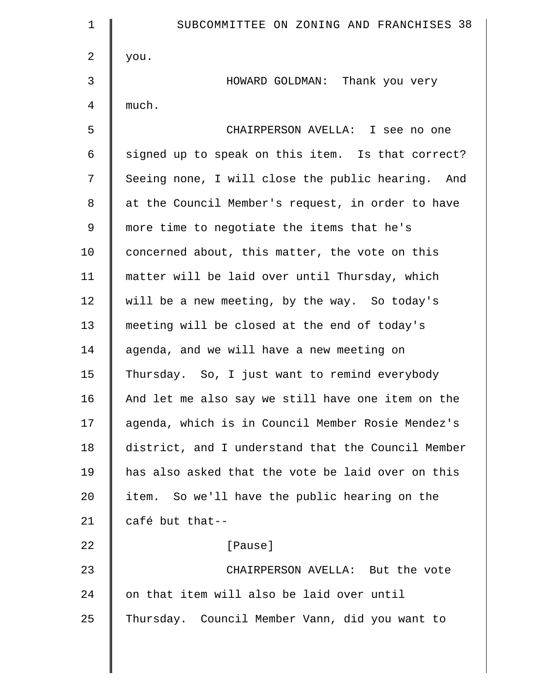| $\mathbf 1$ | SUBCOMMITTEE ON ZONING AND FRANCHISES 38           |
|-------------|----------------------------------------------------|
| 2           | you.                                               |
| 3           | HOWARD GOLDMAN: Thank you very                     |
| 4           | much.                                              |
| 5           | CHAIRPERSON AVELLA: I see no one                   |
| 6           | signed up to speak on this item. Is that correct?  |
| 7           | Seeing none, I will close the public hearing. And  |
| 8           | at the Council Member's request, in order to have  |
| $\mathsf 9$ | more time to negotiate the items that he's         |
| 10          | concerned about, this matter, the vote on this     |
| 11          | matter will be laid over until Thursday, which     |
| 12          | will be a new meeting, by the way. So today's      |
| 13          | meeting will be closed at the end of today's       |
| 14          | agenda, and we will have a new meeting on          |
| 15          | Thursday. So, I just want to remind everybody      |
| 16          | And let me also say we still have one item on the  |
| 17          | agenda, which is in Council Member Rosie Mendez's  |
| 18          | district, and I understand that the Council Member |
| 19          | has also asked that the vote be laid over on this  |
| 20          | item. So we'll have the public hearing on the      |
| 21          | café but that--                                    |
| 22          | [Pause]                                            |
| 23          | CHAIRPERSON AVELLA: But the vote                   |
| 24          | on that item will also be laid over until          |
| 25          | Thursday. Council Member Vann, did you want to     |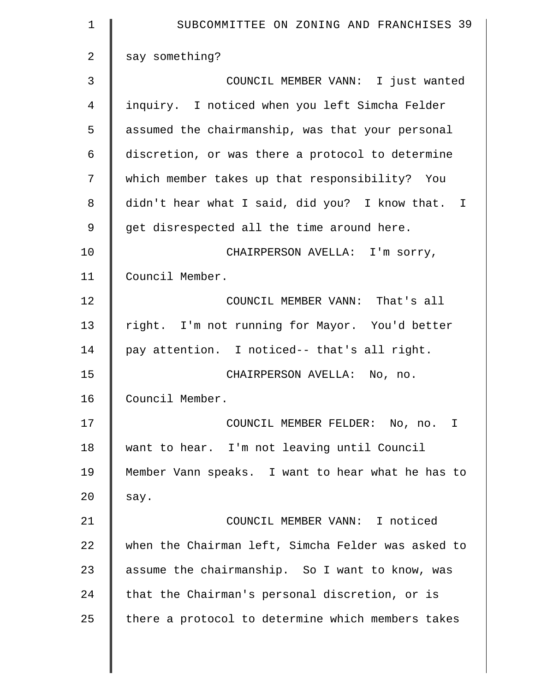| $\mathbf 1$    | SUBCOMMITTEE ON ZONING AND FRANCHISES 39           |
|----------------|----------------------------------------------------|
| $\overline{2}$ | say something?                                     |
| 3              | COUNCIL MEMBER VANN: I just wanted                 |
| 4              | inquiry. I noticed when you left Simcha Felder     |
| 5              | assumed the chairmanship, was that your personal   |
| 6              | discretion, or was there a protocol to determine   |
| 7              | which member takes up that responsibility? You     |
| 8              | didn't hear what I said, did you? I know that. I   |
| 9              | get disrespected all the time around here.         |
| 10             | CHAIRPERSON AVELLA: I'm sorry,                     |
| 11             | Council Member.                                    |
| 12             | COUNCIL MEMBER VANN: That's all                    |
| 13             | right. I'm not running for Mayor. You'd better     |
| 14             | pay attention. I noticed-- that's all right.       |
| 15             | CHAIRPERSON AVELLA: No, no.                        |
| 16             | Council Member.                                    |
| 17             | COUNCIL MEMBER FELDER: No, no. I                   |
| 18             | want to hear. I'm not leaving until Council        |
| 19             | Member Vann speaks. I want to hear what he has to  |
| 20             | say.                                               |
| 21             | COUNCIL MEMBER VANN: I noticed                     |
| 22             | when the Chairman left, Simcha Felder was asked to |
| 23             | assume the chairmanship. So I want to know, was    |
| 24             | that the Chairman's personal discretion, or is     |
| 25             | there a protocol to determine which members takes  |
|                |                                                    |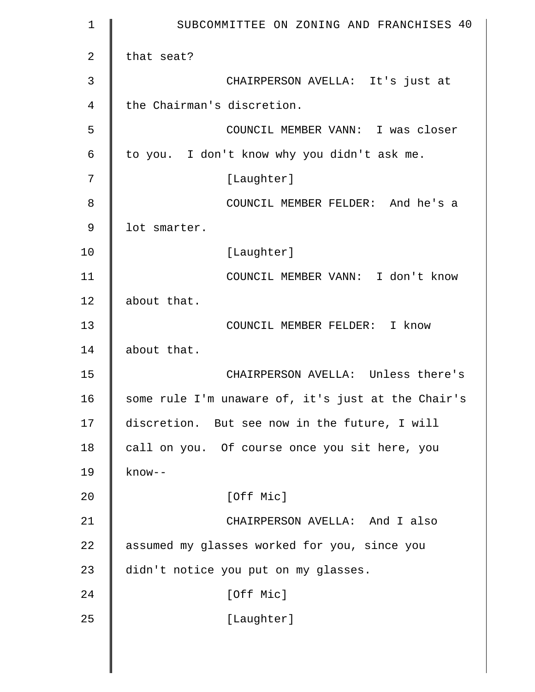| $\mathbf 1$    | SUBCOMMITTEE ON ZONING AND FRANCHISES 40           |
|----------------|----------------------------------------------------|
| $\overline{2}$ | that seat?                                         |
| 3              | CHAIRPERSON AVELLA: It's just at                   |
| 4              | the Chairman's discretion.                         |
| 5              | COUNCIL MEMBER VANN: I was closer                  |
| 6              | to you. I don't know why you didn't ask me.        |
| 7              | [Laughter]                                         |
| 8              | COUNCIL MEMBER FELDER: And he's a                  |
| 9              | lot smarter.                                       |
| 10             | [Laughter]                                         |
| 11             | COUNCIL MEMBER VANN: I don't know                  |
| 12             | about that.                                        |
| 13             | COUNCIL MEMBER FELDER: I know                      |
| 14             | about that.                                        |
| 15             | CHAIRPERSON AVELLA: Unless there's                 |
| 16             | some rule I'm unaware of, it's just at the Chair's |
| 17             | discretion. But see now in the future, I will      |
| 18             | call on you. Of course once you sit here, you      |
| 19             | $know--$                                           |
| 20             | [Off Mic]                                          |
| 21             | CHAIRPERSON AVELLA: And I also                     |
| 22             | assumed my glasses worked for you, since you       |
| 23             | didn't notice you put on my glasses.               |
| 24             | [Off Mic]                                          |
| 25             | [Laughter]                                         |
|                |                                                    |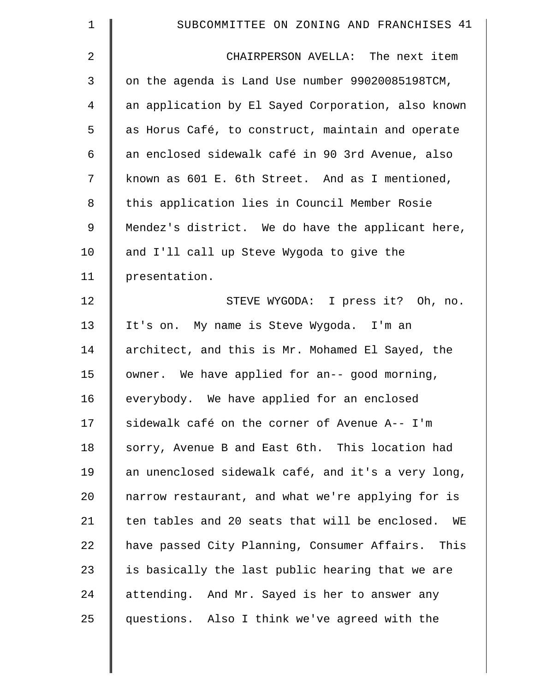| $\mathbf 1$    | SUBCOMMITTEE ON ZONING AND FRANCHISES 41             |
|----------------|------------------------------------------------------|
| $\overline{2}$ | CHAIRPERSON AVELLA: The next item                    |
| 3              | on the agenda is Land Use number 99020085198TCM,     |
| 4              | an application by El Sayed Corporation, also known   |
| 5              | as Horus Café, to construct, maintain and operate    |
| 6              | an enclosed sidewalk café in 90 3rd Avenue, also     |
| 7              | known as 601 E. 6th Street. And as I mentioned,      |
| 8              | this application lies in Council Member Rosie        |
| 9              | Mendez's district. We do have the applicant here,    |
| 10             | and I'll call up Steve Wygoda to give the            |
| 11             | presentation.                                        |
| 12             | STEVE WYGODA: I press it? Oh, no.                    |
| 13             | It's on. My name is Steve Wygoda. I'm an             |
| 14             | architect, and this is Mr. Mohamed El Sayed, the     |
| 15             | owner. We have applied for an-- good morning,        |
| 16             | everybody. We have applied for an enclosed           |
| 17             | sidewalk café on the corner of Avenue A-- I'm        |
| 18             | sorry, Avenue B and East 6th. This location had      |
| 19             | an unenclosed sidewalk café, and it's a very long,   |
| 20             | narrow restaurant, and what we're applying for is    |
| 21             | ten tables and 20 seats that will be enclosed.<br>WE |
| 22             | have passed City Planning, Consumer Affairs. This    |
| 23             | is basically the last public hearing that we are     |
| 24             | attending. And Mr. Sayed is her to answer any        |
| 25             | questions. Also I think we've agreed with the        |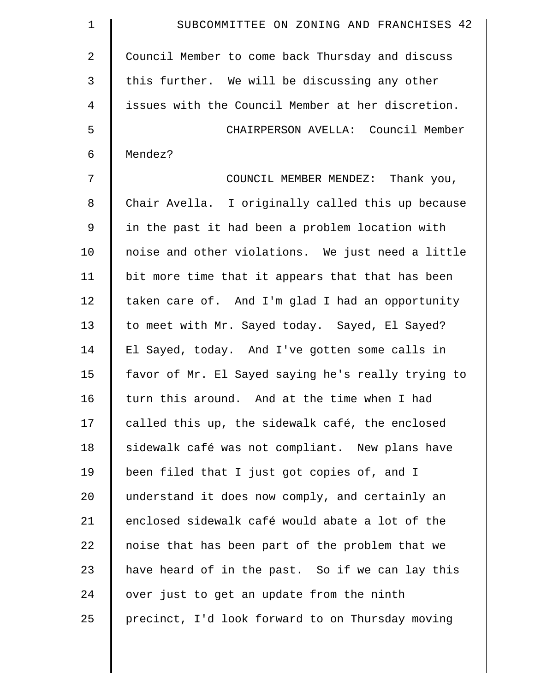| $\mathbf 1$    | SUBCOMMITTEE ON ZONING AND FRANCHISES 42           |
|----------------|----------------------------------------------------|
| $\overline{2}$ | Council Member to come back Thursday and discuss   |
| 3              | this further. We will be discussing any other      |
| 4              | issues with the Council Member at her discretion.  |
| 5              | CHAIRPERSON AVELLA: Council Member                 |
| 6              | Mendez?                                            |
| 7              | COUNCIL MEMBER MENDEZ: Thank you,                  |
| 8              | Chair Avella. I originally called this up because  |
| 9              | in the past it had been a problem location with    |
| 10             | noise and other violations. We just need a little  |
| 11             | bit more time that it appears that that has been   |
| 12             | taken care of. And I'm glad I had an opportunity   |
| 13             | to meet with Mr. Sayed today. Sayed, El Sayed?     |
| 14             | El Sayed, today. And I've gotten some calls in     |
| 15             | favor of Mr. El Sayed saying he's really trying to |
| 16             | turn this around. And at the time when I had       |
| 17             | called this up, the sidewalk café, the enclosed    |
| 18             | sidewalk café was not compliant. New plans have    |
| 19             | been filed that I just got copies of, and I        |
| 20             | understand it does now comply, and certainly an    |
| 21             | enclosed sidewalk café would abate a lot of the    |
| 22             | noise that has been part of the problem that we    |
| 23             | have heard of in the past. So if we can lay this   |
| 24             | over just to get an update from the ninth          |
| 25             | precinct, I'd look forward to on Thursday moving   |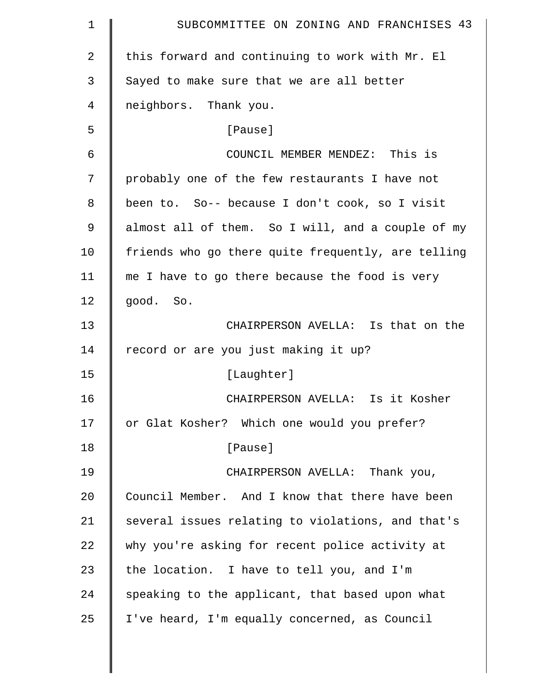| $\mathbf 1$    | SUBCOMMITTEE ON ZONING AND FRANCHISES 43           |
|----------------|----------------------------------------------------|
| $\overline{2}$ | this forward and continuing to work with Mr. El    |
| 3              | Sayed to make sure that we are all better          |
| 4              | neighbors. Thank you.                              |
| 5              | [Pause]                                            |
| 6              | COUNCIL MEMBER MENDEZ: This is                     |
| 7              | probably one of the few restaurants I have not     |
| 8              | been to. So-- because I don't cook, so I visit     |
| 9              | almost all of them. So I will, and a couple of my  |
| 10             | friends who go there quite frequently, are telling |
| 11             | me I have to go there because the food is very     |
| 12             | good. So.                                          |
| 13             | CHAIRPERSON AVELLA: Is that on the                 |
| 14             | record or are you just making it up?               |
| 15             | [Laughter]                                         |
| 16             | CHAIRPERSON AVELLA: Is it Kosher                   |
| 17             | or Glat Kosher? Which one would you prefer?        |
| 18             | [Pause]                                            |
| 19             | CHAIRPERSON AVELLA: Thank you,                     |
| 20             | Council Member. And I know that there have been    |
| 21             | several issues relating to violations, and that's  |
| 22             | why you're asking for recent police activity at    |
| 23             | the location. I have to tell you, and I'm          |
| 24             | speaking to the applicant, that based upon what    |
| 25             | I've heard, I'm equally concerned, as Council      |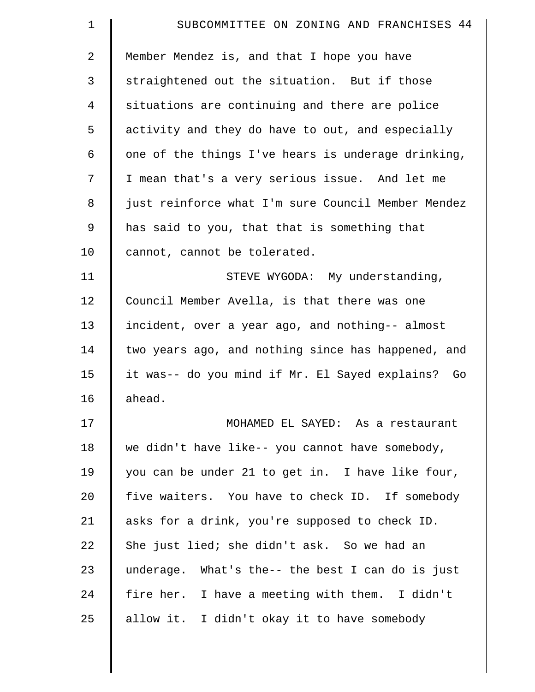| $\mathbf 1$ | SUBCOMMITTEE ON ZONING AND FRANCHISES 44           |
|-------------|----------------------------------------------------|
| 2           | Member Mendez is, and that I hope you have         |
| 3           | straightened out the situation. But if those       |
| 4           | situations are continuing and there are police     |
| 5           | activity and they do have to out, and especially   |
| 6           | one of the things I've hears is underage drinking, |
| 7           | I mean that's a very serious issue. And let me     |
| 8           | just reinforce what I'm sure Council Member Mendez |
| 9           | has said to you, that that is something that       |
| 10          | cannot, cannot be tolerated.                       |
| 11          | STEVE WYGODA: My understanding,                    |
| 12          | Council Member Avella, is that there was one       |
| 13          | incident, over a year ago, and nothing-- almost    |
| 14          | two years ago, and nothing since has happened, and |
| 15          | it was-- do you mind if Mr. El Sayed explains? Go  |
| 16          | ahead.                                             |
| 17          | MOHAMED EL SAYED: As a restaurant                  |
| 18          | we didn't have like-- you cannot have somebody,    |
| 19          | you can be under 21 to get in. I have like four,   |
| 20          | five waiters. You have to check ID. If somebody    |
| 21          | asks for a drink, you're supposed to check ID.     |
| 22          | She just lied; she didn't ask. So we had an        |
| 23          | underage. What's the-- the best I can do is just   |
| 24          | fire her. I have a meeting with them. I didn't     |
| 25          | allow it. I didn't okay it to have somebody        |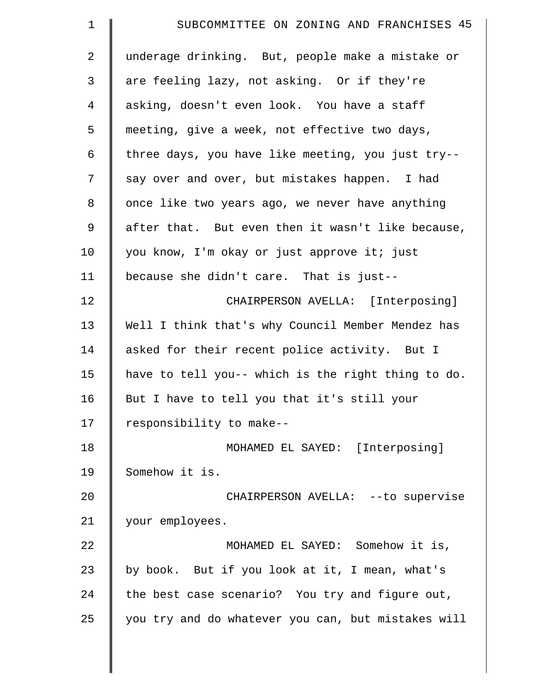| $\mathbf 1$    | SUBCOMMITTEE ON ZONING AND FRANCHISES 45           |
|----------------|----------------------------------------------------|
| 2              | underage drinking. But, people make a mistake or   |
| $\mathfrak{Z}$ | are feeling lazy, not asking. Or if they're        |
| $\overline{4}$ | asking, doesn't even look. You have a staff        |
| 5              | meeting, give a week, not effective two days,      |
| 6              | three days, you have like meeting, you just try--  |
| 7              | say over and over, but mistakes happen. I had      |
| 8              | once like two years ago, we never have anything    |
| $\mathsf 9$    | after that. But even then it wasn't like because,  |
| 10             | you know, I'm okay or just approve it; just        |
| 11             | because she didn't care. That is just--            |
| 12             | CHAIRPERSON AVELLA: [Interposing]                  |
| 13             | Well I think that's why Council Member Mendez has  |
| 14             | asked for their recent police activity. But I      |
| 15             | have to tell you-- which is the right thing to do. |
| 16             | But I have to tell you that it's still your        |
| 17             | responsibility to make--                           |
| 18             | MOHAMED EL SAYED: [Interposing]                    |
| 19             | Somehow it is.                                     |
| 20             | CHAIRPERSON AVELLA: -- to supervise                |
| 21             | your employees.                                    |
| 22             | MOHAMED EL SAYED: Somehow it is,                   |
| 23             | by book. But if you look at it, I mean, what's     |
| 24             | the best case scenario? You try and figure out,    |
| 25             | you try and do whatever you can, but mistakes will |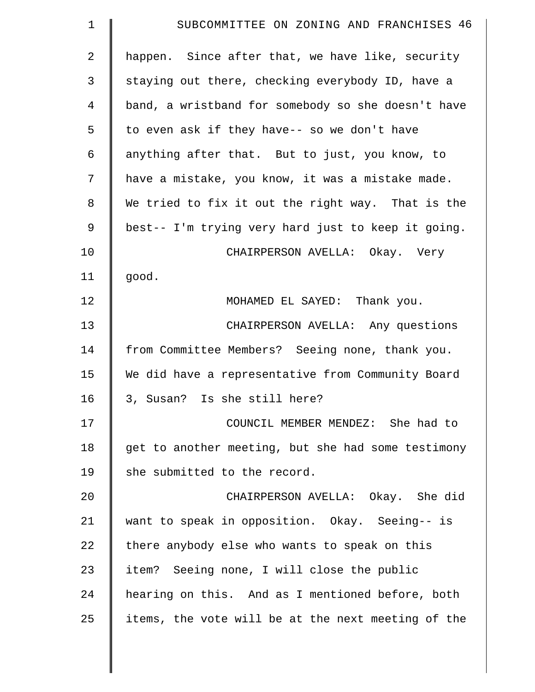| $\mathbf 1$    | SUBCOMMITTEE ON ZONING AND FRANCHISES 46           |
|----------------|----------------------------------------------------|
| $\overline{a}$ | happen. Since after that, we have like, security   |
| 3              | staying out there, checking everybody ID, have a   |
| 4              | band, a wristband for somebody so she doesn't have |
| 5              | to even ask if they have-- so we don't have        |
| 6              | anything after that. But to just, you know, to     |
| 7              | have a mistake, you know, it was a mistake made.   |
| 8              | We tried to fix it out the right way. That is the  |
| 9              | best-- I'm trying very hard just to keep it going. |
| 10             | CHAIRPERSON AVELLA: Okay. Very                     |
| 11             | good.                                              |
| 12             | MOHAMED EL SAYED: Thank you.                       |
| 13             | CHAIRPERSON AVELLA: Any questions                  |
| 14             | from Committee Members? Seeing none, thank you.    |
| 15             | We did have a representative from Community Board  |
| 16             | 3, Susan? Is she still here?                       |
| 17             | COUNCIL MEMBER MENDEZ: She had to                  |
| 18             | get to another meeting, but she had some testimony |
| 19             | she submitted to the record.                       |
| 20             | CHAIRPERSON AVELLA: Okay. She did                  |
| 21             | want to speak in opposition. Okay. Seeing-- is     |
| 22             | there anybody else who wants to speak on this      |
| 23             | item? Seeing none, I will close the public         |
| 24             | hearing on this. And as I mentioned before, both   |
| 25             | items, the vote will be at the next meeting of the |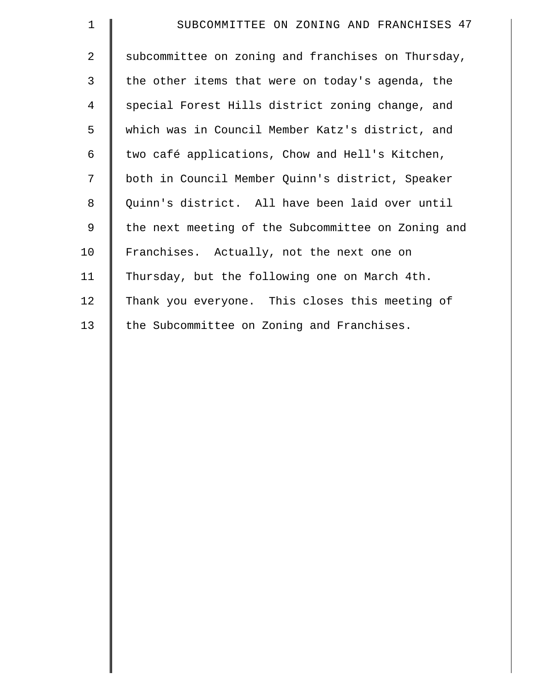| $\mathbf{1}$    | SUBCOMMITTEE ON ZONING AND FRANCHISES 47           |
|-----------------|----------------------------------------------------|
| $\overline{a}$  | subcommittee on zoning and franchises on Thursday, |
| 3               | the other items that were on today's agenda, the   |
| 4               | special Forest Hills district zoning change, and   |
| 5               | which was in Council Member Katz's district, and   |
| 6               | two café applications, Chow and Hell's Kitchen,    |
| 7               | both in Council Member Quinn's district, Speaker   |
| 8               | Quinn's district. All have been laid over until    |
| $\overline{9}$  | the next meeting of the Subcommittee on Zoning and |
| 10              | Franchises. Actually, not the next one on          |
| 11              | Thursday, but the following one on March 4th.      |
| 12 <sup>°</sup> | Thank you everyone. This closes this meeting of    |
| 13              | the Subcommittee on Zoning and Franchises.         |
|                 |                                                    |